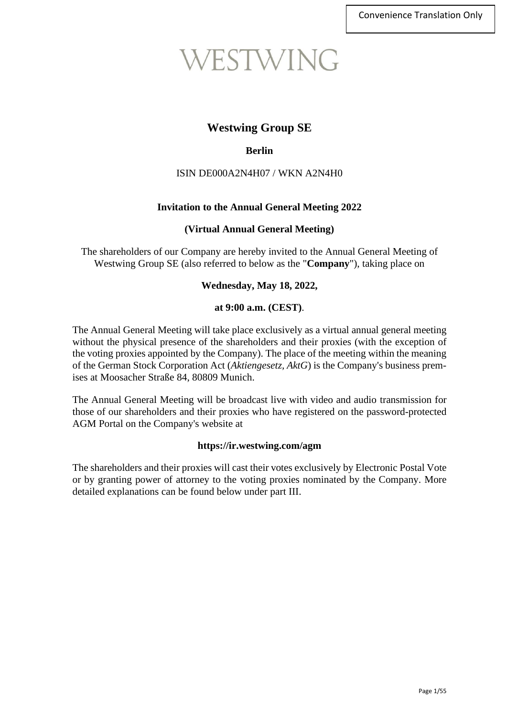# WESTWING

## **Westwing Group SE**

## **Berlin**

## ISIN DE000A2N4H07 / WKN A2N4H0

## **Invitation to the Annual General Meeting 2022**

## **(Virtual Annual General Meeting)**

The shareholders of our Company are hereby invited to the Annual General Meeting of Westwing Group SE (also referred to below as the "**Company**"), taking place on

## **Wednesday, May 18, 2022,**

## **at 9:00 a.m. (CEST)**.

The Annual General Meeting will take place exclusively as a virtual annual general meeting without the physical presence of the shareholders and their proxies (with the exception of the voting proxies appointed by the Company). The place of the meeting within the meaning of the German Stock Corporation Act (*Aktiengesetz, AktG*) is the Company's business premises at Moosacher Straße 84, 80809 Munich.

The Annual General Meeting will be broadcast live with video and audio transmission for those of our shareholders and their proxies who have registered on the password-protected AGM Portal on the Company's website at

#### **https://ir.westwing.com/agm**

The shareholders and their proxies will cast their votes exclusively by Electronic Postal Vote or by granting power of attorney to the voting proxies nominated by the Company. More detailed explanations can be found below under part III.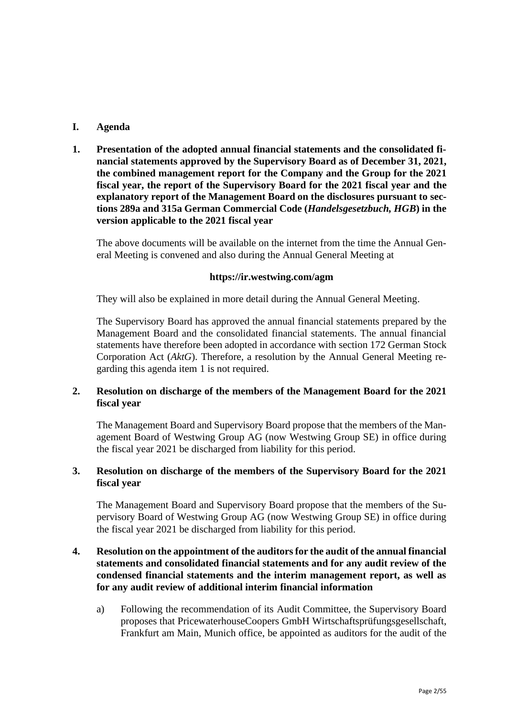## **I. Agenda**

**1. Presentation of the adopted annual financial statements and the consolidated financial statements approved by the Supervisory Board as of December 31, 2021, the combined management report for the Company and the Group for the 2021 fiscal year, the report of the Supervisory Board for the 2021 fiscal year and the explanatory report of the Management Board on the disclosures pursuant to sections 289a and 315a German Commercial Code (***Handelsgesetzbuch, HGB***) in the version applicable to the 2021 fiscal year**

The above documents will be available on the internet from the time the Annual General Meeting is convened and also during the Annual General Meeting at

## **https://ir.westwing.com/agm**

They will also be explained in more detail during the Annual General Meeting.

The Supervisory Board has approved the annual financial statements prepared by the Management Board and the consolidated financial statements. The annual financial statements have therefore been adopted in accordance with section 172 German Stock Corporation Act (*AktG*). Therefore, a resolution by the Annual General Meeting regarding this agenda item 1 is not required.

## **2. Resolution on discharge of the members of the Management Board for the 2021 fiscal year**

The Management Board and Supervisory Board propose that the members of the Management Board of Westwing Group AG (now Westwing Group SE) in office during the fiscal year 2021 be discharged from liability for this period.

## **3. Resolution on discharge of the members of the Supervisory Board for the 2021 fiscal year**

The Management Board and Supervisory Board propose that the members of the Supervisory Board of Westwing Group AG (now Westwing Group SE) in office during the fiscal year 2021 be discharged from liability for this period.

## **4. Resolution on the appointment of the auditors for the audit of the annual financial statements and consolidated financial statements and for any audit review of the condensed financial statements and the interim management report, as well as for any audit review of additional interim financial information**

a) Following the recommendation of its Audit Committee, the Supervisory Board proposes that PricewaterhouseCoopers GmbH Wirtschaftsprüfungsgesellschaft, Frankfurt am Main, Munich office, be appointed as auditors for the audit of the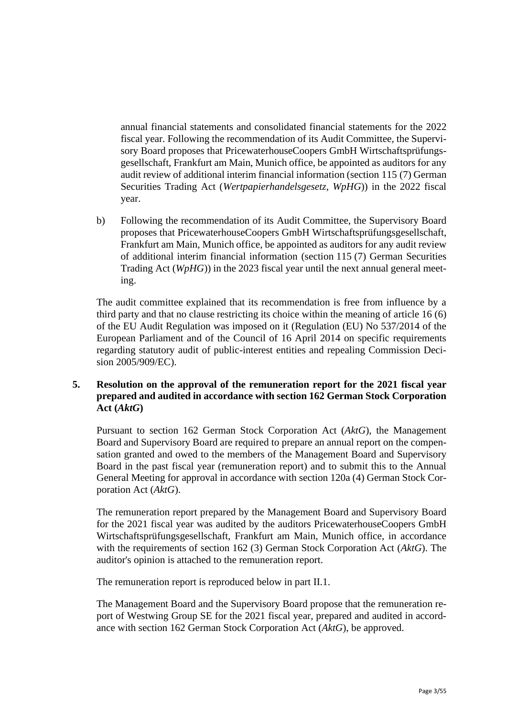annual financial statements and consolidated financial statements for the 2022 fiscal year. Following the recommendation of its Audit Committee, the Supervisory Board proposes that PricewaterhouseCoopers GmbH Wirtschaftsprüfungsgesellschaft, Frankfurt am Main, Munich office, be appointed as auditors for any audit review of additional interim financial information (section 115 (7) German Securities Trading Act (*Wertpapierhandelsgesetz*, *WpHG*)) in the 2022 fiscal year.

b) Following the recommendation of its Audit Committee, the Supervisory Board proposes that PricewaterhouseCoopers GmbH Wirtschaftsprüfungsgesellschaft, Frankfurt am Main, Munich office, be appointed as auditors for any audit review of additional interim financial information (section 115 (7) German Securities Trading Act (*WpHG*)) in the 2023 fiscal year until the next annual general meeting.

The audit committee explained that its recommendation is free from influence by a third party and that no clause restricting its choice within the meaning of article 16 (6) of the EU Audit Regulation was imposed on it (Regulation (EU) No 537/2014 of the European Parliament and of the Council of 16 April 2014 on specific requirements regarding statutory audit of public-interest entities and repealing Commission Decision 2005/909/EC).

## **5. Resolution on the approval of the remuneration report for the 2021 fiscal year prepared and audited in accordance with section 162 German Stock Corporation Act (***AktG***)**

Pursuant to section 162 German Stock Corporation Act (*AktG*), the Management Board and Supervisory Board are required to prepare an annual report on the compensation granted and owed to the members of the Management Board and Supervisory Board in the past fiscal year (remuneration report) and to submit this to the Annual General Meeting for approval in accordance with section 120a (4) German Stock Corporation Act (*AktG*).

The remuneration report prepared by the Management Board and Supervisory Board for the 2021 fiscal year was audited by the auditors PricewaterhouseCoopers GmbH Wirtschaftsprüfungsgesellschaft, Frankfurt am Main, Munich office, in accordance with the requirements of section 162 (3) German Stock Corporation Act (*AktG*). The auditor's opinion is attached to the remuneration report.

The remuneration report is reproduced below in part II.1.

The Management Board and the Supervisory Board propose that the remuneration report of Westwing Group SE for the 2021 fiscal year, prepared and audited in accordance with section 162 German Stock Corporation Act (*AktG*), be approved.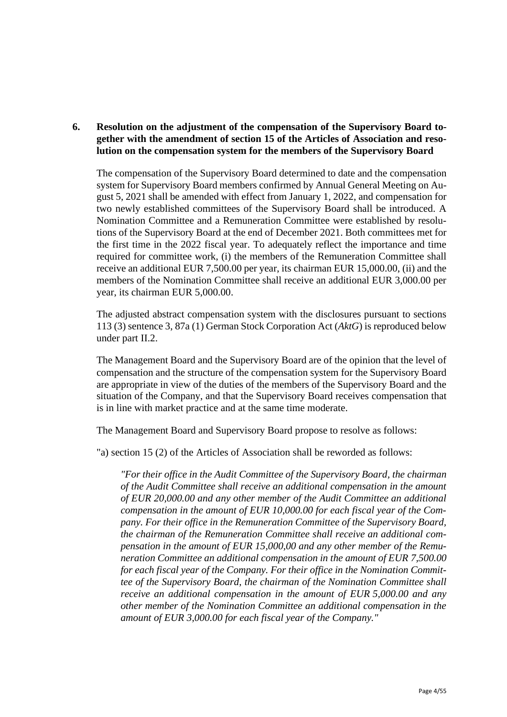## **6. Resolution on the adjustment of the compensation of the Supervisory Board together with the amendment of section 15 of the Articles of Association and resolution on the compensation system for the members of the Supervisory Board**

The compensation of the Supervisory Board determined to date and the compensation system for Supervisory Board members confirmed by Annual General Meeting on August 5, 2021 shall be amended with effect from January 1, 2022, and compensation for two newly established committees of the Supervisory Board shall be introduced. A Nomination Committee and a Remuneration Committee were established by resolutions of the Supervisory Board at the end of December 2021. Both committees met for the first time in the 2022 fiscal year. To adequately reflect the importance and time required for committee work, (i) the members of the Remuneration Committee shall receive an additional EUR 7,500.00 per year, its chairman EUR 15,000.00, (ii) and the members of the Nomination Committee shall receive an additional EUR 3,000.00 per year, its chairman EUR 5,000.00.

The adjusted abstract compensation system with the disclosures pursuant to sections 113 (3) sentence 3, 87a (1) German Stock Corporation Act (*AktG*) is reproduced below under part II.2.

The Management Board and the Supervisory Board are of the opinion that the level of compensation and the structure of the compensation system for the Supervisory Board are appropriate in view of the duties of the members of the Supervisory Board and the situation of the Company, and that the Supervisory Board receives compensation that is in line with market practice and at the same time moderate.

The Management Board and Supervisory Board propose to resolve as follows:

"a) section 15 (2) of the Articles of Association shall be reworded as follows:

*"For their office in the Audit Committee of the Supervisory Board, the chairman of the Audit Committee shall receive an additional compensation in the amount of EUR 20,000.00 and any other member of the Audit Committee an additional compensation in the amount of EUR 10,000.00 for each fiscal year of the Company. For their office in the Remuneration Committee of the Supervisory Board, the chairman of the Remuneration Committee shall receive an additional compensation in the amount of EUR 15,000,00 and any other member of the Remuneration Committee an additional compensation in the amount of EUR 7,500.00 for each fiscal year of the Company. For their office in the Nomination Committee of the Supervisory Board, the chairman of the Nomination Committee shall receive an additional compensation in the amount of EUR 5,000.00 and any other member of the Nomination Committee an additional compensation in the amount of EUR 3,000.00 for each fiscal year of the Company."*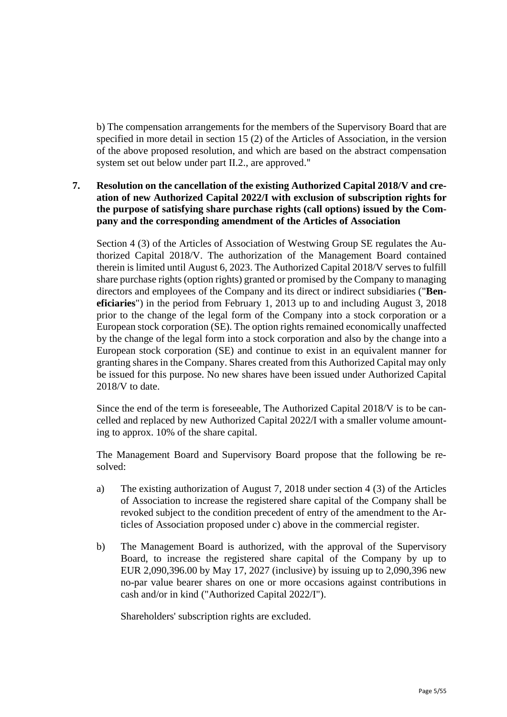b) The compensation arrangements for the members of the Supervisory Board that are specified in more detail in section 15 (2) of the Articles of Association, in the version of the above proposed resolution, and which are based on the abstract compensation system set out below under part II.2., are approved."

## **7. Resolution on the cancellation of the existing Authorized Capital 2018/V and creation of new Authorized Capital 2022/I with exclusion of subscription rights for the purpose of satisfying share purchase rights (call options) issued by the Company and the corresponding amendment of the Articles of Association**

Section 4 (3) of the Articles of Association of Westwing Group SE regulates the Authorized Capital 2018/V. The authorization of the Management Board contained therein is limited until August 6, 2023. The Authorized Capital 2018/V serves to fulfill share purchase rights (option rights) granted or promised by the Company to managing directors and employees of the Company and its direct or indirect subsidiaries ("**Beneficiaries**") in the period from February 1, 2013 up to and including August 3, 2018 prior to the change of the legal form of the Company into a stock corporation or a European stock corporation (SE). The option rights remained economically unaffected by the change of the legal form into a stock corporation and also by the change into a European stock corporation (SE) and continue to exist in an equivalent manner for granting shares in the Company. Shares created from this Authorized Capital may only be issued for this purpose. No new shares have been issued under Authorized Capital 2018/V to date.

Since the end of the term is foreseeable, The Authorized Capital 2018/V is to be cancelled and replaced by new Authorized Capital 2022/I with a smaller volume amounting to approx. 10% of the share capital.

The Management Board and Supervisory Board propose that the following be resolved:

- a) The existing authorization of August 7, 2018 under section 4 (3) of the Articles of Association to increase the registered share capital of the Company shall be revoked subject to the condition precedent of entry of the amendment to the Articles of Association proposed under c) above in the commercial register.
- b) The Management Board is authorized, with the approval of the Supervisory Board, to increase the registered share capital of the Company by up to EUR 2,090,396.00 by May 17, 2027 (inclusive) by issuing up to 2,090,396 new no-par value bearer shares on one or more occasions against contributions in cash and/or in kind ("Authorized Capital 2022/I").

Shareholders' subscription rights are excluded.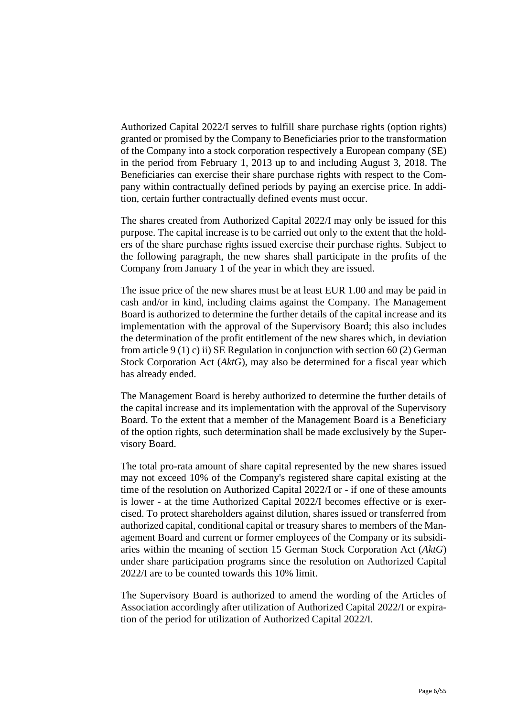Authorized Capital 2022/I serves to fulfill share purchase rights (option rights) granted or promised by the Company to Beneficiaries prior to the transformation of the Company into a stock corporation respectively a European company (SE) in the period from February 1, 2013 up to and including August 3, 2018. The Beneficiaries can exercise their share purchase rights with respect to the Company within contractually defined periods by paying an exercise price. In addition, certain further contractually defined events must occur.

The shares created from Authorized Capital 2022/I may only be issued for this purpose. The capital increase is to be carried out only to the extent that the holders of the share purchase rights issued exercise their purchase rights. Subject to the following paragraph, the new shares shall participate in the profits of the Company from January 1 of the year in which they are issued.

The issue price of the new shares must be at least EUR 1.00 and may be paid in cash and/or in kind, including claims against the Company. The Management Board is authorized to determine the further details of the capital increase and its implementation with the approval of the Supervisory Board; this also includes the determination of the profit entitlement of the new shares which, in deviation from article 9 (1) c) ii) SE Regulation in conjunction with section 60 (2) German Stock Corporation Act (*AktG*), may also be determined for a fiscal year which has already ended.

The Management Board is hereby authorized to determine the further details of the capital increase and its implementation with the approval of the Supervisory Board. To the extent that a member of the Management Board is a Beneficiary of the option rights, such determination shall be made exclusively by the Supervisory Board.

The total pro-rata amount of share capital represented by the new shares issued may not exceed 10% of the Company's registered share capital existing at the time of the resolution on Authorized Capital 2022/I or - if one of these amounts is lower - at the time Authorized Capital 2022/I becomes effective or is exercised. To protect shareholders against dilution, shares issued or transferred from authorized capital, conditional capital or treasury shares to members of the Management Board and current or former employees of the Company or its subsidiaries within the meaning of section 15 German Stock Corporation Act (*AktG*) under share participation programs since the resolution on Authorized Capital 2022/I are to be counted towards this 10% limit.

The Supervisory Board is authorized to amend the wording of the Articles of Association accordingly after utilization of Authorized Capital 2022/I or expiration of the period for utilization of Authorized Capital 2022/I.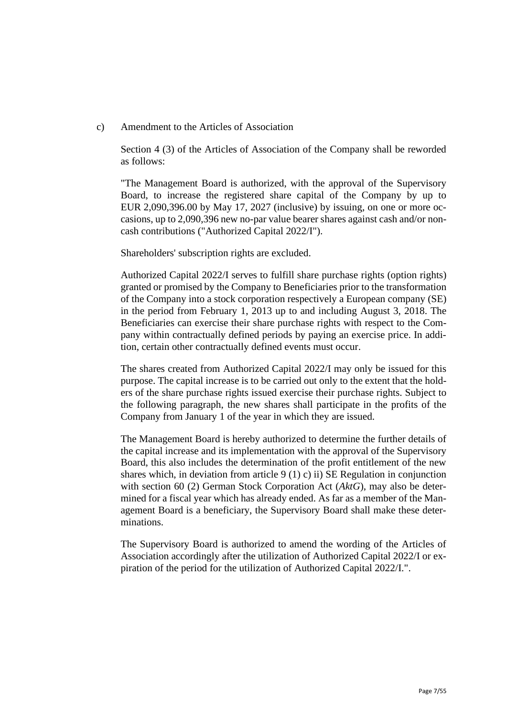c) Amendment to the Articles of Association

Section 4 (3) of the Articles of Association of the Company shall be reworded as follows:

"The Management Board is authorized, with the approval of the Supervisory Board, to increase the registered share capital of the Company by up to EUR 2,090,396.00 by May 17, 2027 (inclusive) by issuing, on one or more occasions, up to 2,090,396 new no-par value bearer shares against cash and/or noncash contributions ("Authorized Capital 2022/I").

Shareholders' subscription rights are excluded.

Authorized Capital 2022/I serves to fulfill share purchase rights (option rights) granted or promised by the Company to Beneficiaries prior to the transformation of the Company into a stock corporation respectively a European company (SE) in the period from February 1, 2013 up to and including August 3, 2018. The Beneficiaries can exercise their share purchase rights with respect to the Company within contractually defined periods by paying an exercise price. In addition, certain other contractually defined events must occur.

The shares created from Authorized Capital 2022/I may only be issued for this purpose. The capital increase is to be carried out only to the extent that the holders of the share purchase rights issued exercise their purchase rights. Subject to the following paragraph, the new shares shall participate in the profits of the Company from January 1 of the year in which they are issued.

The Management Board is hereby authorized to determine the further details of the capital increase and its implementation with the approval of the Supervisory Board, this also includes the determination of the profit entitlement of the new shares which, in deviation from article  $9(1)$  c) ii) SE Regulation in conjunction with section 60 (2) German Stock Corporation Act (*AktG*), may also be determined for a fiscal year which has already ended. As far as a member of the Management Board is a beneficiary, the Supervisory Board shall make these determinations.

The Supervisory Board is authorized to amend the wording of the Articles of Association accordingly after the utilization of Authorized Capital 2022/I or expiration of the period for the utilization of Authorized Capital 2022/I.".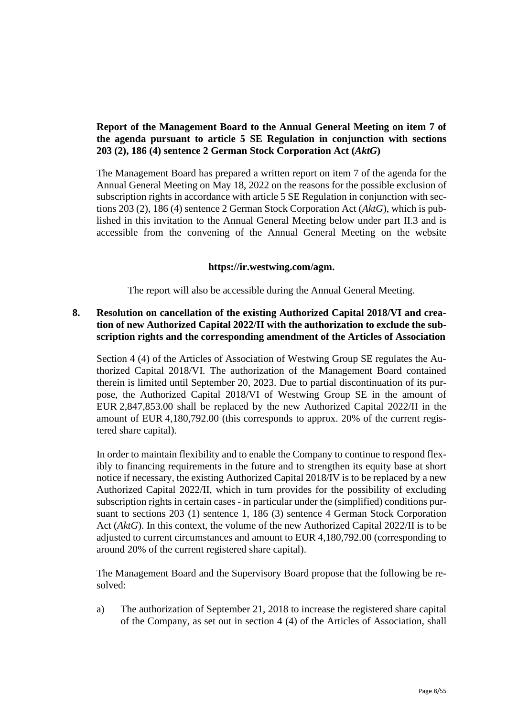## **Report of the Management Board to the Annual General Meeting on item 7 of the agenda pursuant to article 5 SE Regulation in conjunction with sections 203 (2), 186 (4) sentence 2 German Stock Corporation Act (***AktG***)**

The Management Board has prepared a written report on item 7 of the agenda for the Annual General Meeting on May 18, 2022 on the reasons for the possible exclusion of subscription rights in accordance with article 5 SE Regulation in conjunction with sections 203 (2), 186 (4) sentence 2 German Stock Corporation Act (*AktG*), which is published in this invitation to the Annual General Meeting below under part II.3 and is accessible from the convening of the Annual General Meeting on the website

## **https://ir.westwing.com/agm.**

The report will also be accessible during the Annual General Meeting.

## **8. Resolution on cancellation of the existing Authorized Capital 2018/VI and creation of new Authorized Capital 2022/II with the authorization to exclude the subscription rights and the corresponding amendment of the Articles of Association**

Section 4 (4) of the Articles of Association of Westwing Group SE regulates the Authorized Capital 2018/VI. The authorization of the Management Board contained therein is limited until September 20, 2023. Due to partial discontinuation of its purpose, the Authorized Capital 2018/VI of Westwing Group SE in the amount of EUR 2,847,853.00 shall be replaced by the new Authorized Capital 2022/II in the amount of EUR 4,180,792.00 (this corresponds to approx. 20% of the current registered share capital).

In order to maintain flexibility and to enable the Company to continue to respond flexibly to financing requirements in the future and to strengthen its equity base at short notice if necessary, the existing Authorized Capital 2018/IV is to be replaced by a new Authorized Capital 2022/II, which in turn provides for the possibility of excluding subscription rights in certain cases - in particular under the (simplified) conditions pursuant to sections 203 (1) sentence 1, 186 (3) sentence 4 German Stock Corporation Act (*AktG*). In this context, the volume of the new Authorized Capital 2022/II is to be adjusted to current circumstances and amount to EUR 4,180,792.00 (corresponding to around 20% of the current registered share capital).

The Management Board and the Supervisory Board propose that the following be resolved:

a) The authorization of September 21, 2018 to increase the registered share capital of the Company, as set out in section 4 (4) of the Articles of Association, shall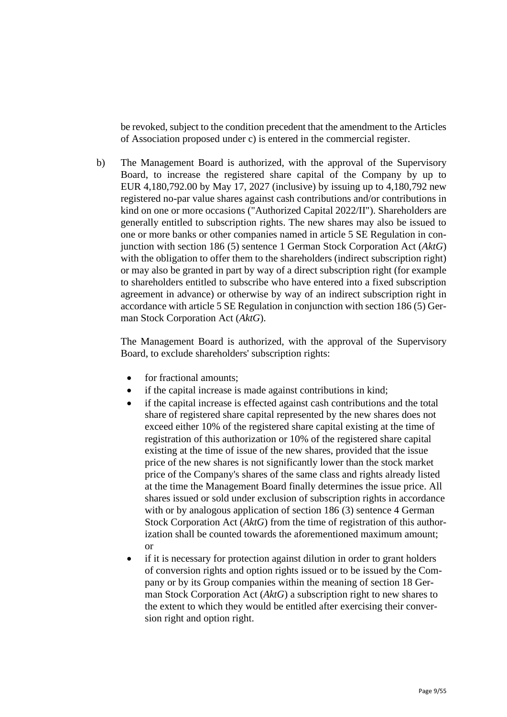be revoked, subject to the condition precedent that the amendment to the Articles of Association proposed under c) is entered in the commercial register.

b) The Management Board is authorized, with the approval of the Supervisory Board, to increase the registered share capital of the Company by up to EUR 4,180,792.00 by May 17, 2027 (inclusive) by issuing up to 4,180,792 new registered no-par value shares against cash contributions and/or contributions in kind on one or more occasions ("Authorized Capital 2022/II"). Shareholders are generally entitled to subscription rights. The new shares may also be issued to one or more banks or other companies named in article 5 SE Regulation in conjunction with section 186 (5) sentence 1 German Stock Corporation Act (*AktG*) with the obligation to offer them to the shareholders (indirect subscription right) or may also be granted in part by way of a direct subscription right (for example to shareholders entitled to subscribe who have entered into a fixed subscription agreement in advance) or otherwise by way of an indirect subscription right in accordance with article 5 SE Regulation in conjunction with section 186 (5) German Stock Corporation Act (*AktG*).

The Management Board is authorized, with the approval of the Supervisory Board, to exclude shareholders' subscription rights:

- for fractional amounts:
- if the capital increase is made against contributions in kind;
- if the capital increase is effected against cash contributions and the total share of registered share capital represented by the new shares does not exceed either 10% of the registered share capital existing at the time of registration of this authorization or 10% of the registered share capital existing at the time of issue of the new shares, provided that the issue price of the new shares is not significantly lower than the stock market price of the Company's shares of the same class and rights already listed at the time the Management Board finally determines the issue price. All shares issued or sold under exclusion of subscription rights in accordance with or by analogous application of section 186 (3) sentence 4 German Stock Corporation Act (*AktG*) from the time of registration of this authorization shall be counted towards the aforementioned maximum amount; or
- if it is necessary for protection against dilution in order to grant holders of conversion rights and option rights issued or to be issued by the Company or by its Group companies within the meaning of section 18 German Stock Corporation Act (*AktG*) a subscription right to new shares to the extent to which they would be entitled after exercising their conversion right and option right.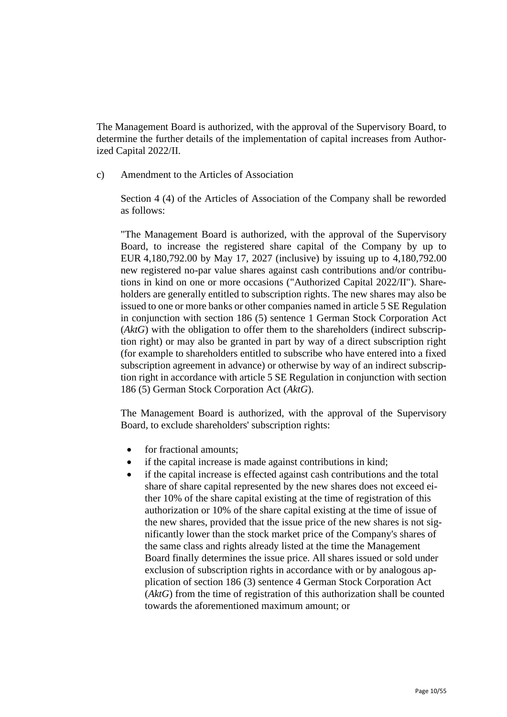The Management Board is authorized, with the approval of the Supervisory Board, to determine the further details of the implementation of capital increases from Authorized Capital 2022/II.

c) Amendment to the Articles of Association

Section 4 (4) of the Articles of Association of the Company shall be reworded as follows:

"The Management Board is authorized, with the approval of the Supervisory Board, to increase the registered share capital of the Company by up to EUR 4,180,792.00 by May 17, 2027 (inclusive) by issuing up to 4,180,792.00 new registered no-par value shares against cash contributions and/or contributions in kind on one or more occasions ("Authorized Capital 2022/II"). Shareholders are generally entitled to subscription rights. The new shares may also be issued to one or more banks or other companies named in article 5 SE Regulation in conjunction with section 186 (5) sentence 1 German Stock Corporation Act (*AktG*) with the obligation to offer them to the shareholders (indirect subscription right) or may also be granted in part by way of a direct subscription right (for example to shareholders entitled to subscribe who have entered into a fixed subscription agreement in advance) or otherwise by way of an indirect subscription right in accordance with article 5 SE Regulation in conjunction with section 186 (5) German Stock Corporation Act (*AktG*).

The Management Board is authorized, with the approval of the Supervisory Board, to exclude shareholders' subscription rights:

- for fractional amounts:
- if the capital increase is made against contributions in kind;
- if the capital increase is effected against cash contributions and the total share of share capital represented by the new shares does not exceed either 10% of the share capital existing at the time of registration of this authorization or 10% of the share capital existing at the time of issue of the new shares, provided that the issue price of the new shares is not significantly lower than the stock market price of the Company's shares of the same class and rights already listed at the time the Management Board finally determines the issue price. All shares issued or sold under exclusion of subscription rights in accordance with or by analogous application of section 186 (3) sentence 4 German Stock Corporation Act (*AktG*) from the time of registration of this authorization shall be counted towards the aforementioned maximum amount; or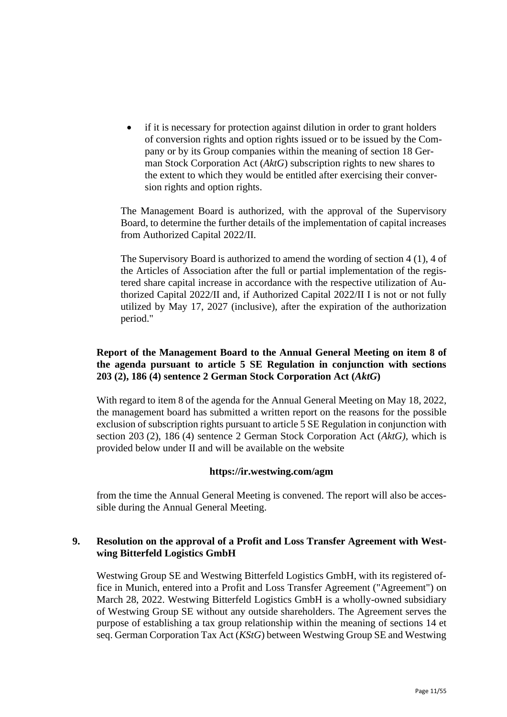if it is necessary for protection against dilution in order to grant holders of conversion rights and option rights issued or to be issued by the Company or by its Group companies within the meaning of section 18 German Stock Corporation Act (*AktG*) subscription rights to new shares to the extent to which they would be entitled after exercising their conversion rights and option rights.

The Management Board is authorized, with the approval of the Supervisory Board, to determine the further details of the implementation of capital increases from Authorized Capital 2022/II.

The Supervisory Board is authorized to amend the wording of section 4 (1), 4 of the Articles of Association after the full or partial implementation of the registered share capital increase in accordance with the respective utilization of Authorized Capital 2022/II and, if Authorized Capital 2022/II I is not or not fully utilized by May 17, 2027 (inclusive), after the expiration of the authorization period."

## **Report of the Management Board to the Annual General Meeting on item 8 of the agenda pursuant to article 5 SE Regulation in conjunction with sections 203 (2), 186 (4) sentence 2 German Stock Corporation Act (***AktG***)**

With regard to item 8 of the agenda for the Annual General Meeting on May 18, 2022, the management board has submitted a written report on the reasons for the possible exclusion of subscription rights pursuant to article 5 SE Regulation in conjunction with section 203 (2), 186 (4) sentence 2 German Stock Corporation Act (*AktG)*, which is provided below under II and will be available on the website

## **https://ir.westwing.com/agm**

from the time the Annual General Meeting is convened. The report will also be accessible during the Annual General Meeting.

## **9. Resolution on the approval of a Profit and Loss Transfer Agreement with Westwing Bitterfeld Logistics GmbH**

Westwing Group SE and Westwing Bitterfeld Logistics GmbH, with its registered office in Munich, entered into a Profit and Loss Transfer Agreement ("Agreement") on March 28, 2022. Westwing Bitterfeld Logistics GmbH is a wholly-owned subsidiary of Westwing Group SE without any outside shareholders. The Agreement serves the purpose of establishing a tax group relationship within the meaning of sections 14 et seq. German Corporation Tax Act (*KStG*) between Westwing Group SE and Westwing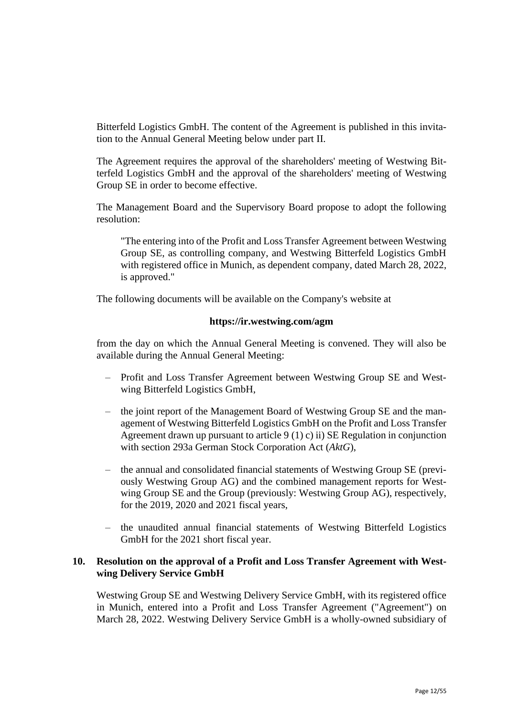Bitterfeld Logistics GmbH. The content of the Agreement is published in this invitation to the Annual General Meeting below under part II.

The Agreement requires the approval of the shareholders' meeting of Westwing Bitterfeld Logistics GmbH and the approval of the shareholders' meeting of Westwing Group SE in order to become effective.

The Management Board and the Supervisory Board propose to adopt the following resolution:

"The entering into of the Profit and Loss Transfer Agreement between Westwing Group SE, as controlling company, and Westwing Bitterfeld Logistics GmbH with registered office in Munich, as dependent company, dated March 28, 2022, is approved."

The following documents will be available on the Company's website at

## **https://ir.westwing.com/agm**

from the day on which the Annual General Meeting is convened. They will also be available during the Annual General Meeting:

- Profit and Loss Transfer Agreement between Westwing Group SE and Westwing Bitterfeld Logistics GmbH,
- the joint report of the Management Board of Westwing Group SE and the management of Westwing Bitterfeld Logistics GmbH on the Profit and Loss Transfer Agreement drawn up pursuant to article 9 (1) c) ii) SE Regulation in conjunction with section 293a German Stock Corporation Act (*AktG*),
- the annual and consolidated financial statements of Westwing Group SE (previously Westwing Group AG) and the combined management reports for Westwing Group SE and the Group (previously: Westwing Group AG), respectively, for the 2019, 2020 and 2021 fiscal years,
- the unaudited annual financial statements of Westwing Bitterfeld Logistics GmbH for the 2021 short fiscal year.

## **10. Resolution on the approval of a Profit and Loss Transfer Agreement with Westwing Delivery Service GmbH**

Westwing Group SE and Westwing Delivery Service GmbH, with its registered office in Munich, entered into a Profit and Loss Transfer Agreement ("Agreement") on March 28, 2022. Westwing Delivery Service GmbH is a wholly-owned subsidiary of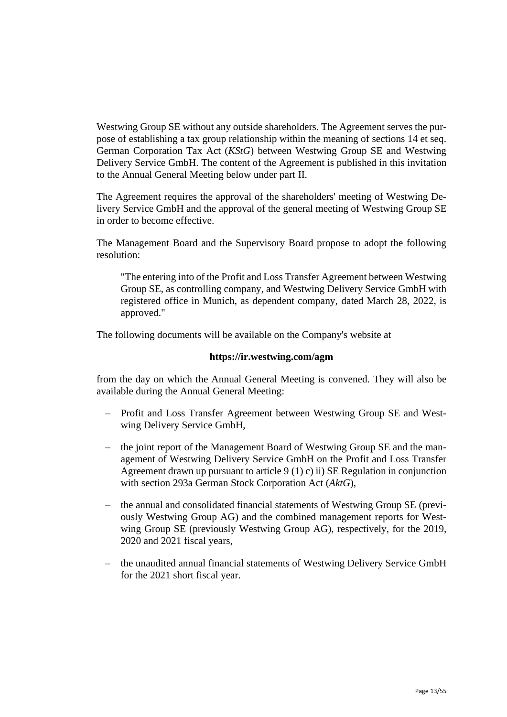Westwing Group SE without any outside shareholders. The Agreement serves the purpose of establishing a tax group relationship within the meaning of sections 14 et seq. German Corporation Tax Act (*KStG*) between Westwing Group SE and Westwing Delivery Service GmbH. The content of the Agreement is published in this invitation to the Annual General Meeting below under part II.

The Agreement requires the approval of the shareholders' meeting of Westwing Delivery Service GmbH and the approval of the general meeting of Westwing Group SE in order to become effective.

The Management Board and the Supervisory Board propose to adopt the following resolution:

"The entering into of the Profit and Loss Transfer Agreement between Westwing Group SE, as controlling company, and Westwing Delivery Service GmbH with registered office in Munich, as dependent company, dated March 28, 2022, is approved."

The following documents will be available on the Company's website at

## **https://ir.westwing.com/agm**

from the day on which the Annual General Meeting is convened. They will also be available during the Annual General Meeting:

- Profit and Loss Transfer Agreement between Westwing Group SE and Westwing Delivery Service GmbH,
- the joint report of the Management Board of Westwing Group SE and the management of Westwing Delivery Service GmbH on the Profit and Loss Transfer Agreement drawn up pursuant to article 9 (1) c) ii) SE Regulation in conjunction with section 293a German Stock Corporation Act (*AktG*),
- the annual and consolidated financial statements of Westwing Group SE (previously Westwing Group AG) and the combined management reports for Westwing Group SE (previously Westwing Group AG), respectively, for the 2019, 2020 and 2021 fiscal years,
- the unaudited annual financial statements of Westwing Delivery Service GmbH for the 2021 short fiscal year.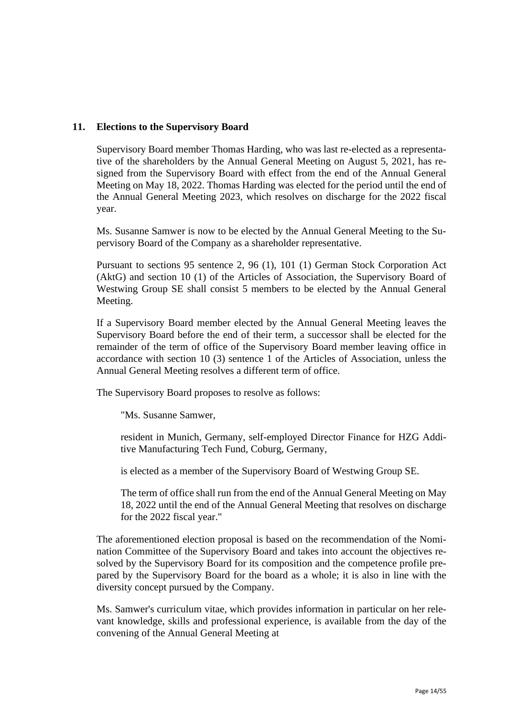## **11. Elections to the Supervisory Board**

Supervisory Board member Thomas Harding, who was last re-elected as a representative of the shareholders by the Annual General Meeting on August 5, 2021, has resigned from the Supervisory Board with effect from the end of the Annual General Meeting on May 18, 2022. Thomas Harding was elected for the period until the end of the Annual General Meeting 2023, which resolves on discharge for the 2022 fiscal year.

Ms. Susanne Samwer is now to be elected by the Annual General Meeting to the Supervisory Board of the Company as a shareholder representative.

Pursuant to sections 95 sentence 2, 96 (1), 101 (1) German Stock Corporation Act (AktG) and section 10 (1) of the Articles of Association, the Supervisory Board of Westwing Group SE shall consist 5 members to be elected by the Annual General Meeting.

If a Supervisory Board member elected by the Annual General Meeting leaves the Supervisory Board before the end of their term, a successor shall be elected for the remainder of the term of office of the Supervisory Board member leaving office in accordance with section 10 (3) sentence 1 of the Articles of Association, unless the Annual General Meeting resolves a different term of office.

The Supervisory Board proposes to resolve as follows:

"Ms. Susanne Samwer,

resident in Munich, Germany, self-employed Director Finance for HZG Additive Manufacturing Tech Fund, Coburg, Germany,

is elected as a member of the Supervisory Board of Westwing Group SE.

The term of office shall run from the end of the Annual General Meeting on May 18, 2022 until the end of the Annual General Meeting that resolves on discharge for the 2022 fiscal year."

The aforementioned election proposal is based on the recommendation of the Nomination Committee of the Supervisory Board and takes into account the objectives resolved by the Supervisory Board for its composition and the competence profile prepared by the Supervisory Board for the board as a whole; it is also in line with the diversity concept pursued by the Company.

Ms. Samwer's curriculum vitae, which provides information in particular on her relevant knowledge, skills and professional experience, is available from the day of the convening of the Annual General Meeting at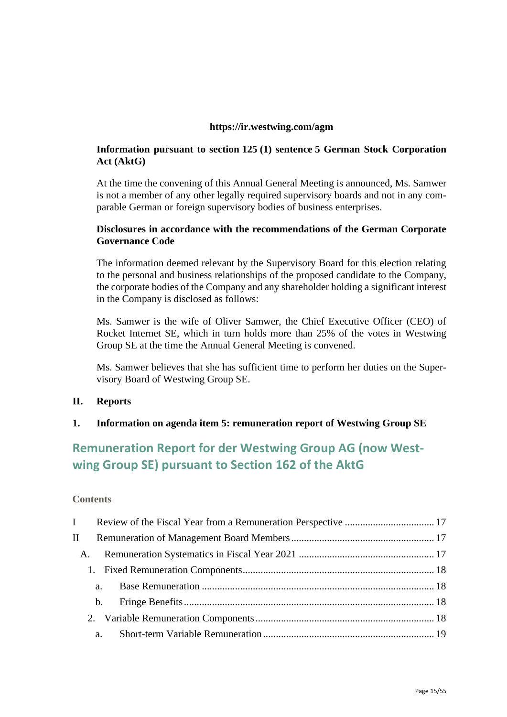## **https://ir.westwing.com/agm**

## **Information pursuant to section 125 (1) sentence 5 German Stock Corporation Act (AktG)**

At the time the convening of this Annual General Meeting is announced, Ms. Samwer is not a member of any other legally required supervisory boards and not in any comparable German or foreign supervisory bodies of business enterprises.

## **Disclosures in accordance with the recommendations of the German Corporate Governance Code**

The information deemed relevant by the Supervisory Board for this election relating to the personal and business relationships of the proposed candidate to the Company, the corporate bodies of the Company and any shareholder holding a significant interest in the Company is disclosed as follows:

Ms. Samwer is the wife of Oliver Samwer, the Chief Executive Officer (CEO) of Rocket Internet SE, which in turn holds more than 25% of the votes in Westwing Group SE at the time the Annual General Meeting is convened.

Ms. Samwer believes that she has sufficient time to perform her duties on the Supervisory Board of Westwing Group SE.

## **II. Reports**

## **1. Information on agenda item 5: remuneration report of Westwing Group SE**

## **Remuneration Report for der Westwing Group AG (now Westwing Group SE) pursuant to Section 162 of the AktG**

## **Contents**

| $\mathbf{I}$ |               |  |
|--------------|---------------|--|
| A.           |               |  |
|              |               |  |
|              | a.            |  |
|              | $\mathbf b$ . |  |
|              |               |  |
|              |               |  |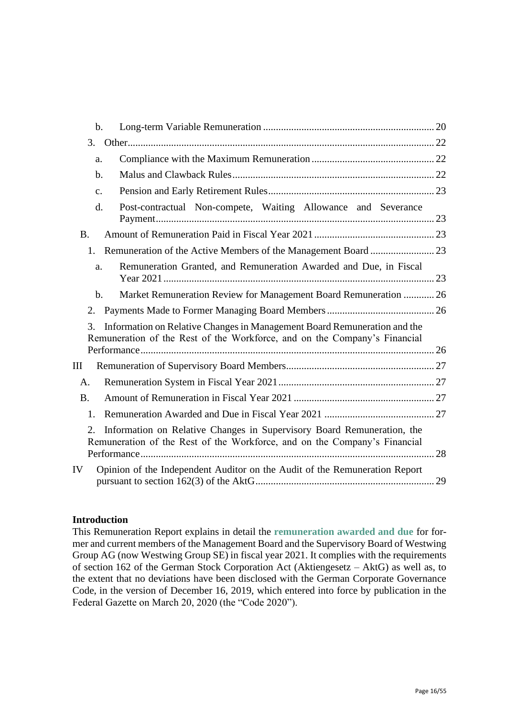|           | $\mathbf b$ .                                                                                                                                         |    |
|-----------|-------------------------------------------------------------------------------------------------------------------------------------------------------|----|
| 3.        |                                                                                                                                                       |    |
|           | a.                                                                                                                                                    |    |
|           | $\mathbf b$ .                                                                                                                                         |    |
|           | $\mathbf{C}$ .                                                                                                                                        |    |
|           | Post-contractual Non-compete, Waiting Allowance and Severance<br>$\mathbf{d}$ .                                                                       |    |
| <b>B.</b> |                                                                                                                                                       |    |
| $1_{-}$   |                                                                                                                                                       |    |
|           | Remuneration Granted, and Remuneration Awarded and Due, in Fiscal<br>a.                                                                               |    |
|           | Market Remuneration Review for Management Board Remuneration  26<br>$\mathbf{b}$ .                                                                    |    |
| 2.        |                                                                                                                                                       |    |
| 3.        | Information on Relative Changes in Management Board Remuneration and the<br>Remuneration of the Rest of the Workforce, and on the Company's Financial |    |
| Ш         |                                                                                                                                                       |    |
| A.        |                                                                                                                                                       |    |
| <b>B.</b> |                                                                                                                                                       |    |
| 1.        |                                                                                                                                                       |    |
| 2.        | Information on Relative Changes in Supervisory Board Remuneration, the<br>Remuneration of the Rest of the Workforce, and on the Company's Financial   | 28 |
| IV        | Opinion of the Independent Auditor on the Audit of the Remuneration Report                                                                            | 29 |

## **Introduction**

This Remuneration Report explains in detail the **remuneration awarded and due** for former and current members of the Management Board and the Supervisory Board of Westwing Group AG (now Westwing Group SE) in fiscal year 2021. It complies with the requirements of section 162 of the German Stock Corporation Act (Aktiengesetz – AktG) as well as, to the extent that no deviations have been disclosed with the German Corporate Governance Code, in the version of December 16, 2019, which entered into force by publication in the Federal Gazette on March 20, 2020 (the "Code 2020").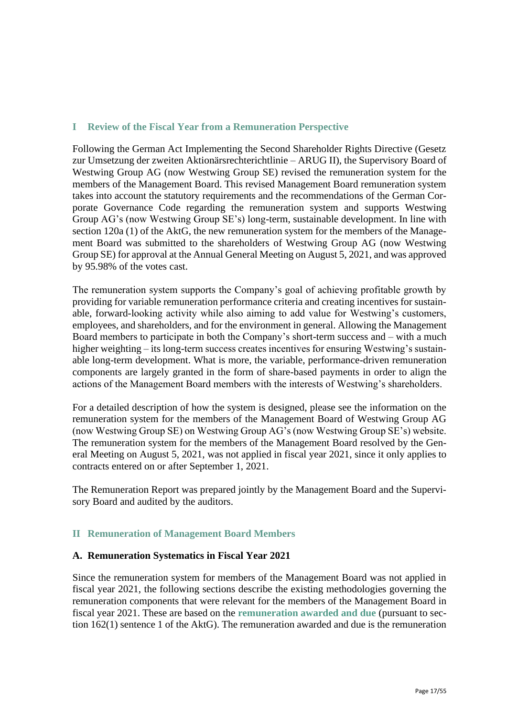## **I Review of the Fiscal Year from a Remuneration Perspective**

Following the German Act Implementing the Second Shareholder Rights Directive (Gesetz zur Umsetzung der zweiten Aktionärsrechterichtlinie – ARUG II), the Supervisory Board of Westwing Group AG (now Westwing Group SE) revised the remuneration system for the members of the Management Board. This revised Management Board remuneration system takes into account the statutory requirements and the recommendations of the German Corporate Governance Code regarding the remuneration system and supports Westwing Group AG's (now Westwing Group SE's) long-term, sustainable development. In line with section 120a (1) of the AktG, the new remuneration system for the members of the Management Board was submitted to the shareholders of Westwing Group AG (now Westwing Group SE) for approval at the Annual General Meeting on August 5, 2021, and was approved by 95.98% of the votes cast.

The remuneration system supports the Company's goal of achieving profitable growth by providing for variable remuneration performance criteria and creating incentives for sustainable, forward-looking activity while also aiming to add value for Westwing's customers, employees, and shareholders, and for the environment in general. Allowing the Management Board members to participate in both the Company's short-term success and – with a much higher weighting – its long-term success creates incentives for ensuring Westwing's sustainable long-term development. What is more, the variable, performance-driven remuneration components are largely granted in the form of share-based payments in order to align the actions of the Management Board members with the interests of Westwing's shareholders.

For a detailed description of how the system is designed, please see the information on the remuneration system for the members of the Management Board of Westwing Group AG (now Westwing Group SE) on Westwing Group AG's (now Westwing Group SE's) website. The remuneration system for the members of the Management Board resolved by the General Meeting on August 5, 2021, was not applied in fiscal year 2021, since it only applies to contracts entered on or after September 1, 2021.

The Remuneration Report was prepared jointly by the Management Board and the Supervisory Board and audited by the auditors.

## **II Remuneration of Management Board Members**

## **A. Remuneration Systematics in Fiscal Year 2021**

Since the remuneration system for members of the Management Board was not applied in fiscal year 2021, the following sections describe the existing methodologies governing the remuneration components that were relevant for the members of the Management Board in fiscal year 2021. These are based on the **remuneration awarded and due** (pursuant to section 162(1) sentence 1 of the AktG). The remuneration awarded and due is the remuneration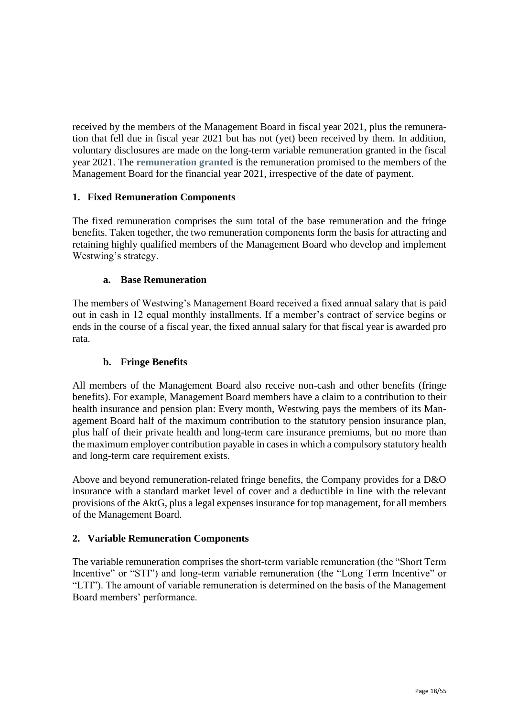received by the members of the Management Board in fiscal year 2021, plus the remuneration that fell due in fiscal year 2021 but has not (yet) been received by them. In addition, voluntary disclosures are made on the long-term variable remuneration granted in the fiscal year 2021. The **remuneration granted** is the remuneration promised to the members of the Management Board for the financial year 2021, irrespective of the date of payment.

## **1. Fixed Remuneration Components**

The fixed remuneration comprises the sum total of the base remuneration and the fringe benefits. Taken together, the two remuneration components form the basis for attracting and retaining highly qualified members of the Management Board who develop and implement Westwing's strategy.

## **a. Base Remuneration**

The members of Westwing's Management Board received a fixed annual salary that is paid out in cash in 12 equal monthly installments. If a member's contract of service begins or ends in the course of a fiscal year, the fixed annual salary for that fiscal year is awarded pro rata.

## **b. Fringe Benefits**

All members of the Management Board also receive non-cash and other benefits (fringe benefits). For example, Management Board members have a claim to a contribution to their health insurance and pension plan: Every month, Westwing pays the members of its Management Board half of the maximum contribution to the statutory pension insurance plan, plus half of their private health and long-term care insurance premiums, but no more than the maximum employer contribution payable in cases in which a compulsory statutory health and long-term care requirement exists.

Above and beyond remuneration-related fringe benefits, the Company provides for a D&O insurance with a standard market level of cover and a deductible in line with the relevant provisions of the AktG, plus a legal expenses insurance for top management, for all members of the Management Board.

## **2. Variable Remuneration Components**

The variable remuneration comprises the short-term variable remuneration (the "Short Term Incentive" or "STI") and long-term variable remuneration (the "Long Term Incentive" or "LTI"). The amount of variable remuneration is determined on the basis of the Management Board members' performance.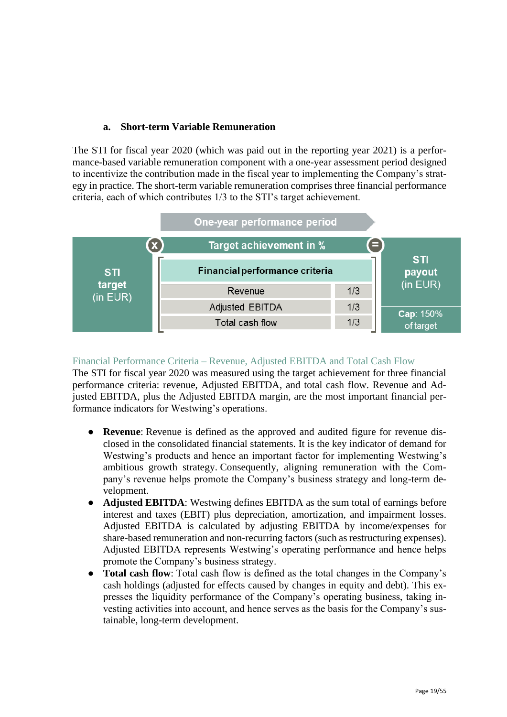## **a. Short-term Variable Remuneration**

The STI for fiscal year 2020 (which was paid out in the reporting year 2021) is a performance-based variable remuneration component with a one-year assessment period designed to incentivize the contribution made in the fiscal year to implementing the Company's strategy in practice. The short-term variable remuneration comprises three financial performance criteria, each of which contributes 1/3 to the STI's target achievement.



## Financial Performance Criteria – Revenue, Adjusted EBITDA and Total Cash Flow

The STI for fiscal year 2020 was measured using the target achievement for three financial performance criteria: revenue, Adjusted EBITDA, and total cash flow. Revenue and Adjusted EBITDA, plus the Adjusted EBITDA margin, are the most important financial performance indicators for Westwing's operations.

- **Revenue**: Revenue is defined as the approved and audited figure for revenue disclosed in the consolidated financial statements. It is the key indicator of demand for Westwing's products and hence an important factor for implementing Westwing's ambitious growth strategy. Consequently, aligning remuneration with the Company's revenue helps promote the Company's business strategy and long-term development.
- **Adjusted EBITDA**: Westwing defines EBITDA as the sum total of earnings before interest and taxes (EBIT) plus depreciation, amortization, and impairment losses. Adjusted EBITDA is calculated by adjusting EBITDA by income/expenses for share-based remuneration and non-recurring factors (such as restructuring expenses). Adjusted EBITDA represents Westwing's operating performance and hence helps promote the Company's business strategy.
- **Total cash flow**: Total cash flow is defined as the total changes in the Company's cash holdings (adjusted for effects caused by changes in equity and debt). This expresses the liquidity performance of the Company's operating business, taking investing activities into account, and hence serves as the basis for the Company's sustainable, long-term development.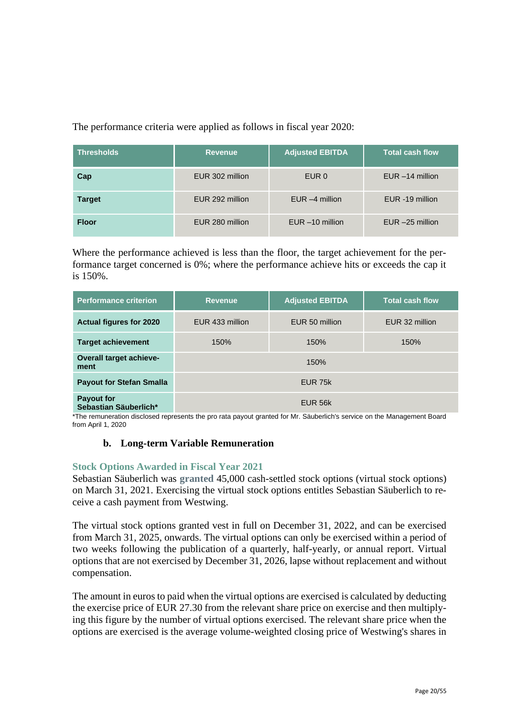The performance criteria were applied as follows in fiscal year 2020:

| <b>Thresholds</b> | <b>Revenue</b>  | <b>Adjusted EBITDA</b> | <b>Total cash flow</b> |
|-------------------|-----------------|------------------------|------------------------|
| Cap               | EUR 302 million | EUR 0                  | $EUR - 14$ million     |
| <b>Target</b>     | EUR 292 million | $EUR - 4$ million      | EUR -19 million        |
| <b>Floor</b>      | EUR 280 million | $EUR - 10$ million     | $EUR - 25$ million     |

Where the performance achieved is less than the floor, the target achievement for the performance target concerned is 0%; where the performance achieve hits or exceeds the cap it is 150%.

| <b>Performance criterion</b>               | <b>Revenue</b>  | <b>Adjusted EBITDA</b> | <b>Total cash flow</b> |
|--------------------------------------------|-----------------|------------------------|------------------------|
| <b>Actual figures for 2020</b>             | EUR 433 million | EUR 50 million         | EUR 32 million         |
| <b>Target achievement</b>                  | 150%            | 150%                   | 150%                   |
| <b>Overall target achieve-</b><br>ment     |                 | 150%                   |                        |
| <b>Payout for Stefan Smalla</b>            |                 |                        |                        |
| <b>Payout for</b><br>Sebastian Säuberlich* |                 | EUR 56k                |                        |

\*The remuneration disclosed represents the pro rata payout granted for Mr. Säuberlich's service on the Management Board from April 1, 2020

## **b. Long-term Variable Remuneration**

## **Stock Options Awarded in Fiscal Year 2021**

Sebastian Säuberlich was **granted** 45,000 cash-settled stock options (virtual stock options) on March 31, 2021. Exercising the virtual stock options entitles Sebastian Säuberlich to receive a cash payment from Westwing.

The virtual stock options granted vest in full on December 31, 2022, and can be exercised from March 31, 2025, onwards. The virtual options can only be exercised within a period of two weeks following the publication of a quarterly, half-yearly, or annual report. Virtual options that are not exercised by December 31, 2026, lapse without replacement and without compensation.

The amount in euros to paid when the virtual options are exercised is calculated by deducting the exercise price of EUR 27.30 from the relevant share price on exercise and then multiplying this figure by the number of virtual options exercised. The relevant share price when the options are exercised is the average volume-weighted closing price of Westwing's shares in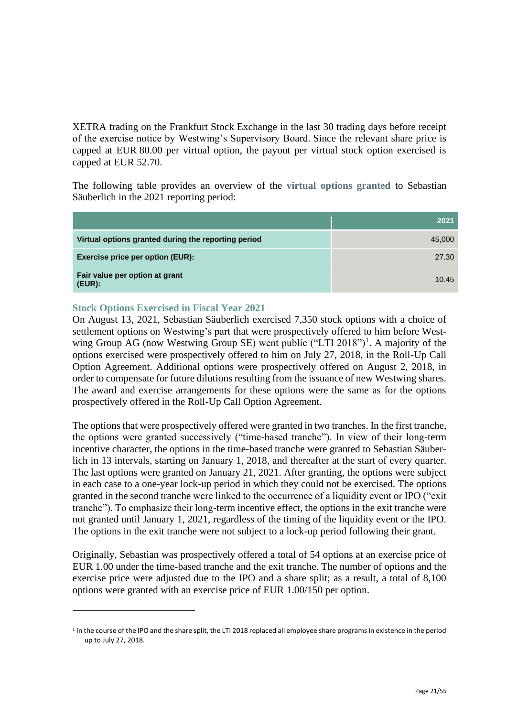XETRA trading on the Frankfurt Stock Exchange in the last 30 trading days before receipt of the exercise notice by Westwing's Supervisory Board. Since the relevant share price is capped at EUR 80.00 per virtual option, the payout per virtual stock option exercised is capped at EUR 52.70.

The following table provides an overview of the **virtual options granted** to Sebastian Säuberlich in the 2021 reporting period:

|                                                     | 2021   |
|-----------------------------------------------------|--------|
| Virtual options granted during the reporting period | 45,000 |
| <b>Exercise price per option (EUR):</b>             | 27.30  |
| Fair value per option at grant<br>$(EUR)$ :         | 10.45  |

## **Stock Options Exercised in Fiscal Year 2021**

On August 13, 2021, Sebastian Säuberlich exercised 7,350 stock options with a choice of settlement options on Westwing's part that were prospectively offered to him before Westwing Group AG (now Westwing Group SE) went public ("LTI 2018")<sup>1</sup>. A majority of the options exercised were prospectively offered to him on July 27, 2018, in the Roll-Up Call Option Agreement. Additional options were prospectively offered on August 2, 2018, in order to compensate for future dilutions resulting from the issuance of new Westwing shares. The award and exercise arrangements for these options were the same as for the options prospectively offered in the Roll-Up Call Option Agreement.

The options that were prospectively offered were granted in two tranches. In the first tranche, the options were granted successively ("time-based tranche"). In view of their long-term incentive character, the options in the time-based tranche were granted to Sebastian Säuberlich in 13 intervals, starting on January 1, 2018, and thereafter at the start of every quarter. The last options were granted on January 21, 2021. After granting, the options were subject in each case to a one-year lock-up period in which they could not be exercised. The options granted in the second tranche were linked to the occurrence of a liquidity event or IPO ("exit tranche"). To emphasize their long-term incentive effect, the options in the exit tranche were not granted until January 1, 2021, regardless of the timing of the liquidity event or the IPO. The options in the exit tranche were not subject to a lock-up period following their grant.

Originally, Sebastian was prospectively offered a total of 54 options at an exercise price of EUR 1.00 under the time-based tranche and the exit tranche. The number of options and the exercise price were adjusted due to the IPO and a share split; as a result, a total of 8,100 options were granted with an exercise price of EUR 1.00/150 per option.

<sup>&</sup>lt;sup>1</sup> In the course of the IPO and the share split, the LTI 2018 replaced all employee share programs in existence in the period up to July 27, 2018.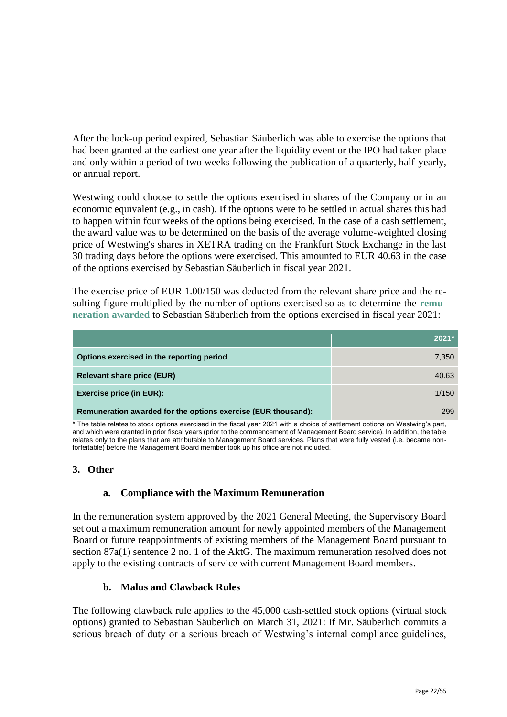After the lock-up period expired, Sebastian Säuberlich was able to exercise the options that had been granted at the earliest one year after the liquidity event or the IPO had taken place and only within a period of two weeks following the publication of a quarterly, half-yearly, or annual report.

Westwing could choose to settle the options exercised in shares of the Company or in an economic equivalent (e.g., in cash). If the options were to be settled in actual shares this had to happen within four weeks of the options being exercised. In the case of a cash settlement, the award value was to be determined on the basis of the average volume-weighted closing price of Westwing's shares in XETRA trading on the Frankfurt Stock Exchange in the last 30 trading days before the options were exercised. This amounted to EUR 40.63 in the case of the options exercised by Sebastian Säuberlich in fiscal year 2021.

The exercise price of EUR 1.00/150 was deducted from the relevant share price and the resulting figure multiplied by the number of options exercised so as to determine the **remuneration awarded** to Sebastian Säuberlich from the options exercised in fiscal year 2021:

|                                                               | $2021*$ |
|---------------------------------------------------------------|---------|
| Options exercised in the reporting period                     | 7,350   |
| <b>Relevant share price (EUR)</b>                             | 40.63   |
| <b>Exercise price (in EUR):</b>                               | 1/150   |
| Remuneration awarded for the options exercise (EUR thousand): | 299     |

\* The table relates to stock options exercised in the fiscal year 2021 with a choice of settlement options on Westwing's part, and which were granted in prior fiscal years (prior to the commencement of Management Board service). In addition, the table relates only to the plans that are attributable to Management Board services. Plans that were fully vested (i.e. became nonforfeitable) before the Management Board member took up his office are not included.

## **3. Other**

## **a. Compliance with the Maximum Remuneration**

In the remuneration system approved by the 2021 General Meeting, the Supervisory Board set out a maximum remuneration amount for newly appointed members of the Management Board or future reappointments of existing members of the Management Board pursuant to section 87a(1) sentence 2 no. 1 of the AktG. The maximum remuneration resolved does not apply to the existing contracts of service with current Management Board members.

## **b. Malus and Clawback Rules**

The following clawback rule applies to the 45,000 cash-settled stock options (virtual stock options) granted to Sebastian Säuberlich on March 31, 2021: If Mr. Säuberlich commits a serious breach of duty or a serious breach of Westwing's internal compliance guidelines,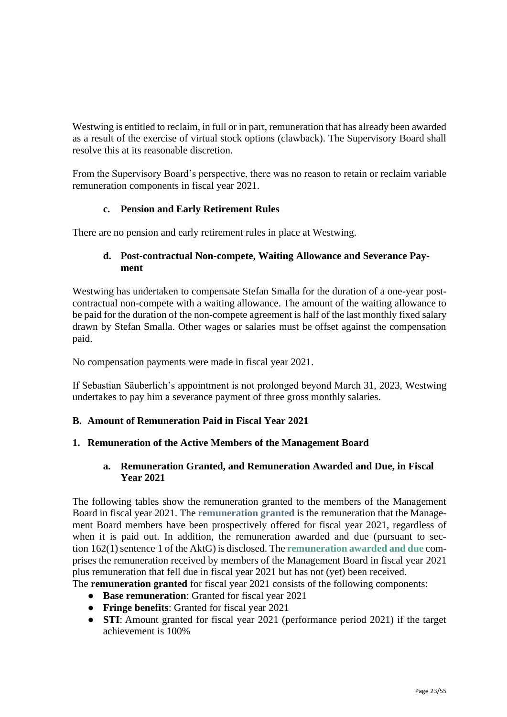Westwing is entitled to reclaim, in full or in part, remuneration that has already been awarded as a result of the exercise of virtual stock options (clawback). The Supervisory Board shall resolve this at its reasonable discretion.

From the Supervisory Board's perspective, there was no reason to retain or reclaim variable remuneration components in fiscal year 2021.

## **c. Pension and Early Retirement Rules**

There are no pension and early retirement rules in place at Westwing.

## **d. Post-contractual Non-compete, Waiting Allowance and Severance Payment**

Westwing has undertaken to compensate Stefan Smalla for the duration of a one-year postcontractual non-compete with a waiting allowance. The amount of the waiting allowance to be paid for the duration of the non-compete agreement is half of the last monthly fixed salary drawn by Stefan Smalla. Other wages or salaries must be offset against the compensation paid.

No compensation payments were made in fiscal year 2021.

If Sebastian Säuberlich's appointment is not prolonged beyond March 31, 2023, Westwing undertakes to pay him a severance payment of three gross monthly salaries.

## **B. Amount of Remuneration Paid in Fiscal Year 2021**

## **1. Remuneration of the Active Members of the Management Board**

## **a. Remuneration Granted, and Remuneration Awarded and Due, in Fiscal Year 2021**

The following tables show the remuneration granted to the members of the Management Board in fiscal year 2021. The **remuneration granted** is the remuneration that the Management Board members have been prospectively offered for fiscal year 2021, regardless of when it is paid out. In addition, the remuneration awarded and due (pursuant to section 162(1) sentence 1 of the AktG) is disclosed. The **remuneration awarded and due** comprises the remuneration received by members of the Management Board in fiscal year 2021 plus remuneration that fell due in fiscal year 2021 but has not (yet) been received.

The **remuneration granted** for fiscal year 2021 consists of the following components:

- **Base remuneration**: Granted for fiscal year 2021
- **Fringe benefits**: Granted for fiscal year 2021
- **STI**: Amount granted for fiscal year 2021 (performance period 2021) if the target achievement is 100%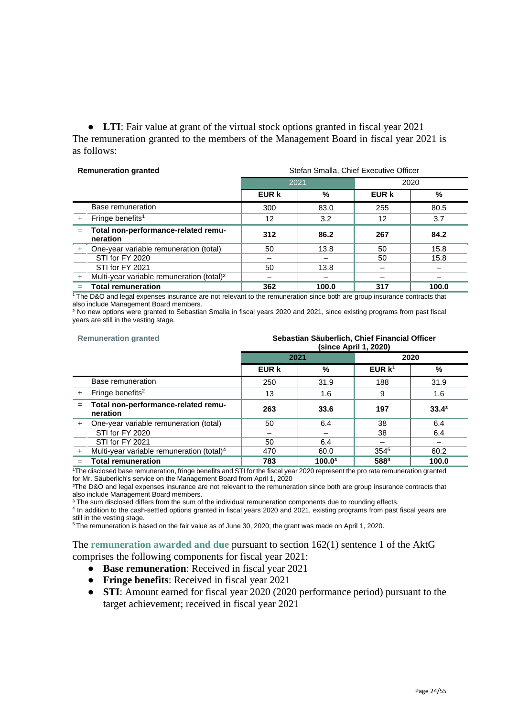● **LTI**: Fair value at grant of the virtual stock options granted in fiscal year 2021 The remuneration granted to the members of the Management Board in fiscal year 2021 is as follows:

| <b>Remuneration granted</b> |                                                       | Stefan Smalla, Chief Executive Officer |       |       |       |
|-----------------------------|-------------------------------------------------------|----------------------------------------|-------|-------|-------|
|                             |                                                       |                                        | 2021  |       | 2020  |
|                             |                                                       | EUR k                                  | %     | EUR k | $\%$  |
|                             | Base remuneration                                     | 300                                    | 83.0  | 255   | 80.5  |
|                             | Fringe benefits <sup>1</sup>                          | $12 \overline{ }$                      | 3.2   | 12    | 3.7   |
| Ξ                           | Total non-performance-related remu-<br>neration       | 312                                    | 86.2  | 267   | 84.2  |
| $+$                         | One-year variable remuneration (total)                | 50                                     | 13.8  | 50    | 15.8  |
|                             | STI for FY 2020                                       |                                        |       | 50    | 15.8  |
|                             | STI for FY 2021                                       | 50                                     | 13.8  |       |       |
|                             | Multi-year variable remuneration (total) <sup>2</sup> |                                        |       |       |       |
|                             | <b>Total remuneration</b>                             | 362                                    | 100.0 | 317   | 100.0 |

 $1$ The D&O and legal expenses insurance are not relevant to the remuneration since both are group insurance contracts that also include Management Board members.

² No new options were granted to Sebastian Smalla in fiscal years 2020 and 2021, since existing programs from past fiscal years are still in the vesting stage.

#### **Remuneration granted Sebastian Säuberlich, Chief Financial Officer (since April 1, 2020)**

|           |                                                       | ן אזי וווער איוונגן |        |           |                   |
|-----------|-------------------------------------------------------|---------------------|--------|-----------|-------------------|
|           |                                                       | 2021                |        | 2020      |                   |
|           |                                                       | EUR k               | %      | EUR $k^1$ | $\frac{9}{6}$     |
|           | Base remuneration                                     | 250                 | 31.9   | 188       | 31.9              |
| $+$       | Fringe benefits <sup>2</sup>                          | 13                  | 1.6    | 9         | 1.6               |
| $=$       | Total non-performance-related remu-<br>neration       | 263                 | 33.6   | 197       | 33.4 <sup>3</sup> |
| $\ddot{}$ | One-year variable remuneration (total)                | 50                  | 6.4    | 38        | 6.4               |
|           | STI for FY 2020                                       |                     |        | 38        | 6.4               |
|           | STI for FY 2021                                       | 50                  | 6.4    |           |                   |
|           | Multi-year variable remuneration (total) <sup>4</sup> | 470                 | 60.0   | $354^{5}$ | 60.2              |
|           | <b>Total remuneration</b>                             | 783                 | 100.03 | 5883      | 100.0             |

<sup>1</sup>The disclosed base remuneration, fringe benefits and STI for the fiscal year 2020 represent the pro rata remuneration granted for Mr. Säuberlich's service on the Management Board from April 1, 2020

²The D&O and legal expenses insurance are not relevant to the remuneration since both are group insurance contracts that also include Management Board members.

<sup>3</sup> The sum disclosed differs from the sum of the individual remuneration components due to rounding effects.

4 In addition to the cash-settled options granted in fiscal years 2020 and 2021, existing programs from past fiscal years are still in the vesting stage.

<sup>5</sup> The remuneration is based on the fair value as of June 30, 2020; the grant was made on April 1, 2020.

## The **remuneration awarded and due** pursuant to section 162(1) sentence 1 of the AktG comprises the following components for fiscal year 2021:

- **Base remuneration**: Received in fiscal year 2021
- **Fringe benefits**: Received in fiscal year 2021
- **STI**: Amount earned for fiscal year 2020 (2020 performance period) pursuant to the target achievement; received in fiscal year 2021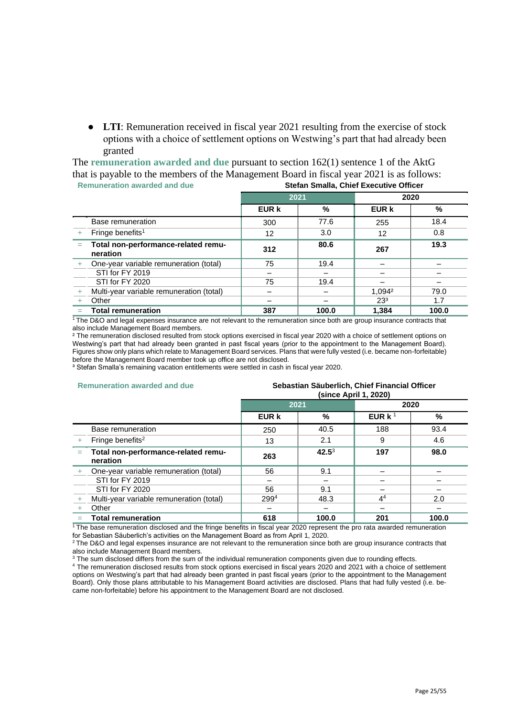● **LTI**: Remuneration received in fiscal year 2021 resulting from the exercise of stock options with a choice of settlement options on Westwing's part that had already been granted

The **remuneration awarded and due** pursuant to section 162(1) sentence 1 of the AktG that is payable to the members of the Management Board in fiscal year 2021 is as follows:<br>Beginneration awarded and due **Remuneration awarded and due Stefan Smalla, Chief Executive Officer**

| <u>KEINIKIANUI AWAIUCU ANU UUG</u> |                                                 | Stefan Smalla, Chief Executive Officer |       |                 |       |
|------------------------------------|-------------------------------------------------|----------------------------------------|-------|-----------------|-------|
|                                    |                                                 | 2021                                   |       |                 | 2020  |
|                                    |                                                 | <b>EUR k</b>                           | %     | <b>EUR k</b>    | %     |
|                                    | Base remuneration                               | 300                                    | 77.6  | 255             | 18.4  |
|                                    | Fringe benefits <sup>1</sup>                    | 12 <sup>2</sup>                        | 3.0   | 12              | 0.8   |
| $=$                                | Total non-performance-related remu-<br>neration | 312                                    | 80.6  | 267             | 19.3  |
|                                    | One-year variable remuneration (total)          | 75                                     | 19.4  |                 |       |
|                                    | STI for FY 2019                                 |                                        |       |                 |       |
|                                    | STI for FY 2020                                 | 75                                     | 19.4  |                 |       |
|                                    | Multi-year variable remuneration (total)        |                                        |       | 1.0942          | 79.0  |
|                                    | Other                                           |                                        |       | 23 <sup>3</sup> | 1.7   |
|                                    | <b>Total remuneration</b>                       | 387                                    | 100.0 | 1,384           | 100.0 |

<sup>1</sup>The D&O and legal expenses insurance are not relevant to the remuneration since both are group insurance contracts that also include Management Board members.

² The remuneration disclosed resulted from stock options exercised in fiscal year 2020 with a choice of settlement options on Westwing's part that had already been granted in past fiscal years (prior to the appointment to the Management Board). Figures show only plans which relate to Management Board services. Plans that were fully vested (i.e. became non-forfeitable) before the Management Board member took up office are not disclosed.

<sup>3</sup> Stefan Smalla's remaining vacation entitlements were settled in cash in fiscal year 2020.

#### **Remuneration awarded and due Sebastian Säuberlich, Chief Financial Officer**

|     |                                                 | ן געצט זיו ווער שטווופן |          |                |       |
|-----|-------------------------------------------------|-------------------------|----------|----------------|-------|
|     |                                                 | 2021                    |          |                | 2020  |
|     |                                                 | <b>EUR k</b>            | %        | EUR $k1$       | %     |
|     | Base remuneration                               | 250                     | 40.5     | 188            | 93.4  |
|     | Fringe benefits <sup>2</sup>                    | 13                      | 2.1      | 9              | 4.6   |
| $=$ | Total non-performance-related remu-<br>neration | 263                     | $42.5^3$ | 197            | 98.0  |
|     | One-year variable remuneration (total)          | 56                      | 9.1      |                |       |
|     | STI for FY 2019                                 |                         |          |                |       |
|     | STI for FY 2020                                 | 56                      | 9.1      |                |       |
|     | Multi-year variable remuneration (total)        | $299^{4}$               | 48.3     | 4 <sup>4</sup> | 2.0   |
|     | Other                                           |                         |          |                |       |
|     | <b>Total remuneration</b>                       | 618                     | 100.0    | 201            | 100.0 |

**(since April 1, 2020)**

 $1$ The base remuneration disclosed and the fringe benefits in fiscal year 2020 represent the pro rata awarded remuneration for Sebastian Säuberlich's activities on the Management Board as from April 1, 2020.

 $2$ The D&O and legal expenses insurance are not relevant to the remuneration since both are group insurance contracts that

also include Management Board members.

 $3$  The sum disclosed differs from the sum of the individual remuneration components given due to rounding effects.

<sup>4</sup> The remuneration disclosed results from stock options exercised in fiscal years 2020 and 2021 with a choice of settlement options on Westwing's part that had already been granted in past fiscal years (prior to the appointment to the Management Board). Only those plans attributable to his Management Board activities are disclosed. Plans that had fully vested (i.e. became non-forfeitable) before his appointment to the Management Board are not disclosed.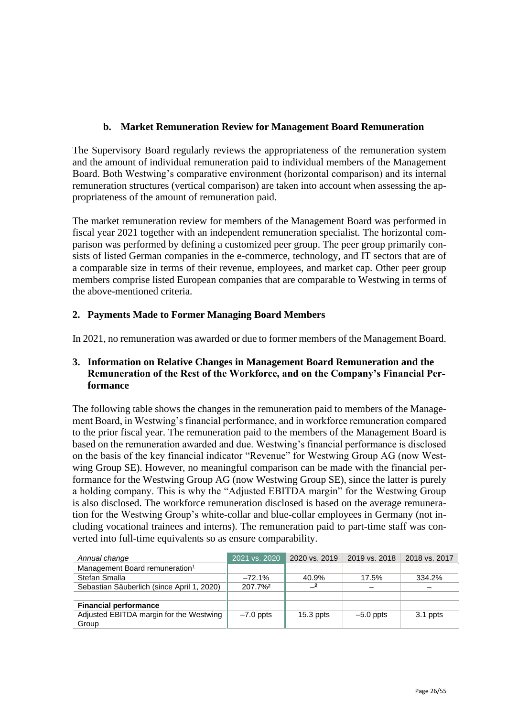## **b. Market Remuneration Review for Management Board Remuneration**

The Supervisory Board regularly reviews the appropriateness of the remuneration system and the amount of individual remuneration paid to individual members of the Management Board. Both Westwing's comparative environment (horizontal comparison) and its internal remuneration structures (vertical comparison) are taken into account when assessing the appropriateness of the amount of remuneration paid.

The market remuneration review for members of the Management Board was performed in fiscal year 2021 together with an independent remuneration specialist. The horizontal comparison was performed by defining a customized peer group. The peer group primarily consists of listed German companies in the e-commerce, technology, and IT sectors that are of a comparable size in terms of their revenue, employees, and market cap. Other peer group members comprise listed European companies that are comparable to Westwing in terms of the above-mentioned criteria.

## **2. Payments Made to Former Managing Board Members**

In 2021, no remuneration was awarded or due to former members of the Management Board.

## **3. Information on Relative Changes in Management Board Remuneration and the Remuneration of the Rest of the Workforce, and on the Company's Financial Performance**

The following table shows the changes in the remuneration paid to members of the Management Board, in Westwing's financial performance, and in workforce remuneration compared to the prior fiscal year. The remuneration paid to the members of the Management Board is based on the remuneration awarded and due. Westwing's financial performance is disclosed on the basis of the key financial indicator "Revenue" for Westwing Group AG (now Westwing Group SE). However, no meaningful comparison can be made with the financial performance for the Westwing Group AG (now Westwing Group SE), since the latter is purely a holding company. This is why the "Adjusted EBITDA margin" for the Westwing Group is also disclosed. The workforce remuneration disclosed is based on the average remuneration for the Westwing Group's white-collar and blue-collar employees in Germany (not including vocational trainees and interns). The remuneration paid to part-time staff was converted into full-time equivalents so as ensure comparability.

| Annual change                              | 2021 vs. 2020 | 2020 vs. 2019 | 2019 vs. 2018 | 2018 vs. 2017 |
|--------------------------------------------|---------------|---------------|---------------|---------------|
| Management Board remuneration <sup>1</sup> |               |               |               |               |
| Stefan Smalla                              | $-72.1\%$     | 40.9%         | 17.5%         | 334.2%        |
| Sebastian Säuberlich (since April 1, 2020) | 207.7%        |               |               |               |
|                                            |               |               |               |               |
| <b>Financial performance</b>               |               |               |               |               |
| Adjusted EBITDA margin for the Westwing    | $-7.0$ ppts   | $15.3$ ppts   | $-5.0$ ppts   | 3.1 ppts      |
| Group                                      |               |               |               |               |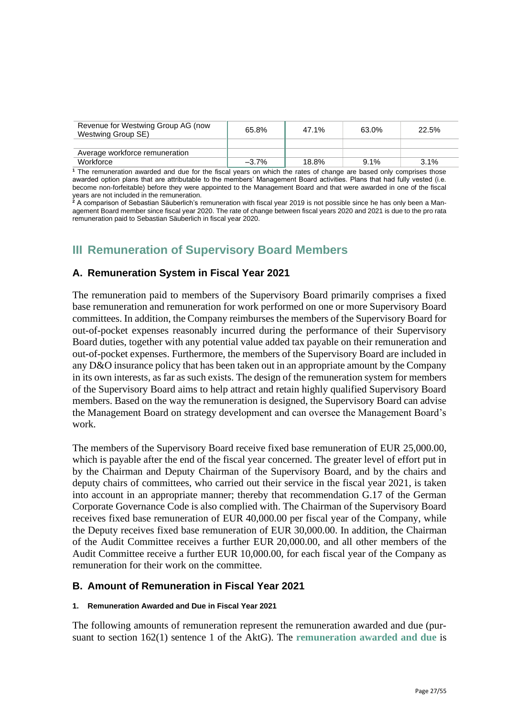| Revenue for Westwing Group AG (now<br>Westwing Group SE) | 65.8%    | 47.1% | 63.0% | 22.5% |
|----------------------------------------------------------|----------|-------|-------|-------|
|                                                          |          |       |       |       |
| Average workforce remuneration                           |          |       |       |       |
| Workforce                                                | $-3.7\%$ | 18.8% | 9.1%  | 3.1%  |

**<sup>1</sup>** The remuneration awarded and due for the fiscal years on which the rates of change are based only comprises those awarded option plans that are attributable to the members' Management Board activities. Plans that had fully vested (i.e. become non-forfeitable) before they were appointed to the Management Board and that were awarded in one of the fiscal years are not included in the remuneration.

**<sup>2</sup>** A comparison of Sebastian Säuberlich's remuneration with fiscal year 2019 is not possible since he has only been a Management Board member since fiscal year 2020. The rate of change between fiscal years 2020 and 2021 is due to the pro rata remuneration paid to Sebastian Säuberlich in fiscal year 2020.

## **III Remuneration of Supervisory Board Members**

## **A. Remuneration System in Fiscal Year 2021**

The remuneration paid to members of the Supervisory Board primarily comprises a fixed base remuneration and remuneration for work performed on one or more Supervisory Board committees. In addition, the Company reimburses the members of the Supervisory Board for out-of-pocket expenses reasonably incurred during the performance of their Supervisory Board duties, together with any potential value added tax payable on their remuneration and out-of-pocket expenses. Furthermore, the members of the Supervisory Board are included in any D&O insurance policy that has been taken out in an appropriate amount by the Company in its own interests, as far as such exists. The design of the remuneration system for members of the Supervisory Board aims to help attract and retain highly qualified Supervisory Board members. Based on the way the remuneration is designed, the Supervisory Board can advise the Management Board on strategy development and can oversee the Management Board's work.

The members of the Supervisory Board receive fixed base remuneration of EUR 25,000.00, which is payable after the end of the fiscal year concerned. The greater level of effort put in by the Chairman and Deputy Chairman of the Supervisory Board, and by the chairs and deputy chairs of committees, who carried out their service in the fiscal year 2021, is taken into account in an appropriate manner; thereby that recommendation G.17 of the German Corporate Governance Code is also complied with. The Chairman of the Supervisory Board receives fixed base remuneration of EUR 40,000.00 per fiscal year of the Company, while the Deputy receives fixed base remuneration of EUR 30,000.00. In addition, the Chairman of the Audit Committee receives a further EUR 20,000.00, and all other members of the Audit Committee receive a further EUR 10,000.00, for each fiscal year of the Company as remuneration for their work on the committee.

## **B. Amount of Remuneration in Fiscal Year 2021**

#### **1. Remuneration Awarded and Due in Fiscal Year 2021**

The following amounts of remuneration represent the remuneration awarded and due (pursuant to section 162(1) sentence 1 of the AktG). The **remuneration awarded and due** is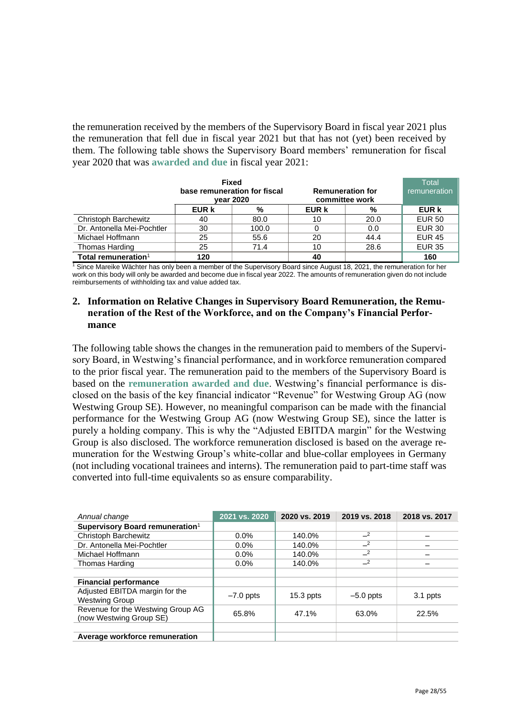the remuneration received by the members of the Supervisory Board in fiscal year 2021 plus the remuneration that fell due in fiscal year 2021 but that has not (yet) been received by them. The following table shows the Supervisory Board members' remuneration for fiscal year 2020 that was **awarded and due** in fiscal year 2021:

|                            | <b>Fixed</b><br>base remuneration for fiscal<br><b>vear 2020</b> |       | <b>Remuneration for</b><br>committee work |      | Total<br>remuneration |
|----------------------------|------------------------------------------------------------------|-------|-------------------------------------------|------|-----------------------|
|                            | EUR k                                                            | %     | EUR k                                     | %    | <b>EUR k</b>          |
| Christoph Barchewitz       | 40                                                               | 80.0  | 10                                        | 20.0 | <b>EUR 50</b>         |
| Dr. Antonella Mei-Pochtler | 30                                                               | 100.0 |                                           | 0.0  | <b>EUR 30</b>         |
| Michael Hoffmann           | 25                                                               | 55.6  | 20                                        | 44.4 | <b>EUR 45</b>         |
| Thomas Harding             | 25                                                               | 71.4  | 10                                        | 28.6 | <b>EUR 35</b>         |
| Total remuneration $1$     | 120                                                              |       | 40                                        |      | 160                   |

<sup>1</sup> Since Mareike Wächter has only been a member of the Supervisory Board since August 18, 2021, the remuneration for her work on this body will only be awarded and become due in fiscal year 2022. The amounts of remuneration given do not include reimbursements of withholding tax and value added tax.

## **2. Information on Relative Changes in Supervisory Board Remuneration, the Remuneration of the Rest of the Workforce, and on the Company's Financial Performance**

The following table shows the changes in the remuneration paid to members of the Supervisory Board, in Westwing's financial performance, and in workforce remuneration compared to the prior fiscal year. The remuneration paid to the members of the Supervisory Board is based on the **remuneration awarded and due**. Westwing's financial performance is disclosed on the basis of the key financial indicator "Revenue" for Westwing Group AG (now Westwing Group SE). However, no meaningful comparison can be made with the financial performance for the Westwing Group AG (now Westwing Group SE), since the latter is purely a holding company. This is why the "Adjusted EBITDA margin" for the Westwing Group is also disclosed. The workforce remuneration disclosed is based on the average remuneration for the Westwing Group's white-collar and blue-collar employees in Germany (not including vocational trainees and interns). The remuneration paid to part-time staff was converted into full-time equivalents so as ensure comparability.

| Annual change                                                | 2021 vs. 2020 | 2020 vs. 2019 | 2019 vs. 2018 | 2018 vs. 2017 |
|--------------------------------------------------------------|---------------|---------------|---------------|---------------|
| Supervisory Board remuneration <sup>1</sup>                  |               |               |               |               |
| <b>Christoph Barchewitz</b>                                  | 0.0%          | 140.0%        | $-2$          |               |
| Dr. Antonella Mei-Pochtler                                   | 0.0%          | 140.0%        | $-2$          |               |
| Michael Hoffmann                                             | 0.0%          | 140.0%        | $-2$          |               |
| Thomas Harding                                               | 0.0%          | 140.0%        | $-2$          |               |
|                                                              |               |               |               |               |
| <b>Financial performance</b>                                 |               |               |               |               |
| Adjusted EBITDA margin for the<br><b>Westwing Group</b>      | $-7.0$ ppts   | $15.3$ ppts   | $-5.0$ ppts   | 3.1 ppts      |
| Revenue for the Westwing Group AG<br>(now Westwing Group SE) | 65.8%         | 47.1%         | 63.0%         | 22.5%         |
|                                                              |               |               |               |               |
| Average workforce remuneration                               |               |               |               |               |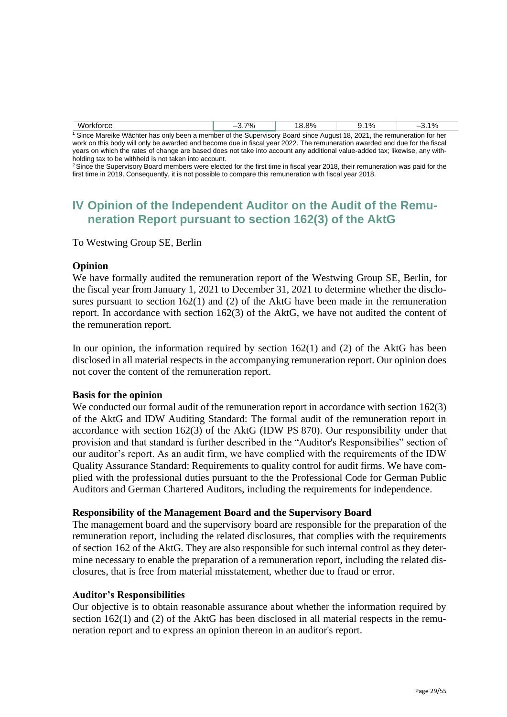| Workforce                                                                                                                          | 7% | 18.8% | $9.1\%$ | $-3.1%$ |
|------------------------------------------------------------------------------------------------------------------------------------|----|-------|---------|---------|
| <sup>1</sup> Since Mareike Wächter has only been a member of the Supervisory Board since August 18, 2021, the remuneration for her |    |       |         |         |

work on this body will only be awarded and become due in fiscal year 2022. The remuneration awarded and due for the fiscal years on which the rates of change are based does not take into account any additional value-added tax; likewise, any withholding tax to be withheld is not taken into account.

<sup>2</sup> Since the Supervisory Board members were elected for the first time in fiscal year 2018, their remuneration was paid for the first time in 2019. Consequently, it is not possible to compare this remuneration with fiscal year 2018.

## **IV Opinion of the Independent Auditor on the Audit of the Remuneration Report pursuant to section 162(3) of the AktG**

To Westwing Group SE, Berlin

## **Opinion**

We have formally audited the remuneration report of the Westwing Group SE, Berlin, for the fiscal year from January 1, 2021 to December 31, 2021 to determine whether the disclosures pursuant to section 162(1) and (2) of the AktG have been made in the remuneration report. In accordance with section 162(3) of the AktG, we have not audited the content of the remuneration report.

In our opinion, the information required by section 162(1) and (2) of the AktG has been disclosed in all material respects in the accompanying remuneration report. Our opinion does not cover the content of the remuneration report.

#### **Basis for the opinion**

We conducted our formal audit of the remuneration report in accordance with section 162(3) of the AktG and IDW Auditing Standard: The formal audit of the remuneration report in accordance with section 162(3) of the AktG (IDW PS 870). Our responsibility under that provision and that standard is further described in the "Auditor's Responsibilies" section of our auditor's report. As an audit firm, we have complied with the requirements of the IDW Quality Assurance Standard: Requirements to quality control for audit firms. We have complied with the professional duties pursuant to the the Professional Code for German Public Auditors and German Chartered Auditors, including the requirements for independence.

## **Responsibility of the Management Board and the Supervisory Board**

The management board and the supervisory board are responsible for the preparation of the remuneration report, including the related disclosures, that complies with the requirements of section 162 of the AktG. They are also responsible for such internal control as they determine necessary to enable the preparation of a remuneration report, including the related disclosures, that is free from material misstatement, whether due to fraud or error.

#### **Auditor's Responsibilities**

Our objective is to obtain reasonable assurance about whether the information required by section 162(1) and (2) of the AktG has been disclosed in all material respects in the remuneration report and to express an opinion thereon in an auditor's report.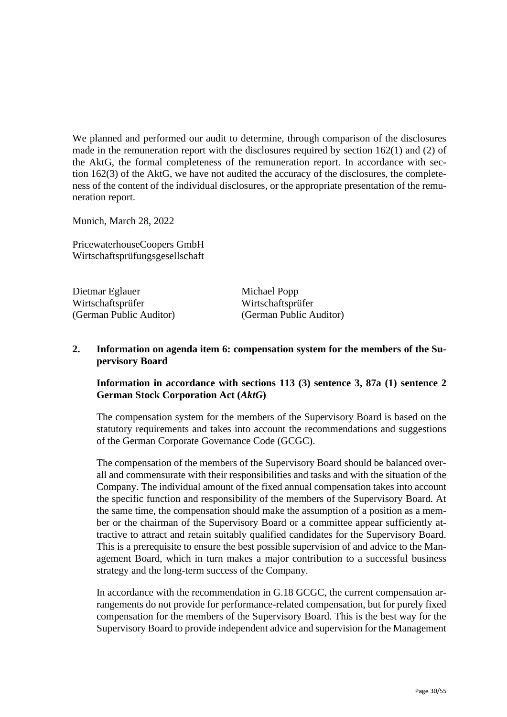We planned and performed our audit to determine, through comparison of the disclosures made in the remuneration report with the disclosures required by section 162(1) and (2) of the AktG, the formal completeness of the remuneration report. In accordance with section 162(3) of the AktG, we have not audited the accuracy of the disclosures, the completeness of the content of the individual disclosures, or the appropriate presentation of the remuneration report.

Munich, March 28, 2022

PricewaterhouseCoopers GmbH Wirtschaftsprüfungsgesellschaft

Dietmar Eglauer Michael Popp Wirtschaftsprüfer Wirtschaftsprüfer

(German Public Auditor) (German Public Auditor)

## **2. Information on agenda item 6: compensation system for the members of the Supervisory Board**

## **Information in accordance with sections 113 (3) sentence 3, 87a (1) sentence 2 German Stock Corporation Act (***AktG***)**

The compensation system for the members of the Supervisory Board is based on the statutory requirements and takes into account the recommendations and suggestions of the German Corporate Governance Code (GCGC).

The compensation of the members of the Supervisory Board should be balanced overall and commensurate with their responsibilities and tasks and with the situation of the Company. The individual amount of the fixed annual compensation takes into account the specific function and responsibility of the members of the Supervisory Board. At the same time, the compensation should make the assumption of a position as a member or the chairman of the Supervisory Board or a committee appear sufficiently attractive to attract and retain suitably qualified candidates for the Supervisory Board. This is a prerequisite to ensure the best possible supervision of and advice to the Management Board, which in turn makes a major contribution to a successful business strategy and the long-term success of the Company.

In accordance with the recommendation in G.18 GCGC, the current compensation arrangements do not provide for performance-related compensation, but for purely fixed compensation for the members of the Supervisory Board. This is the best way for the Supervisory Board to provide independent advice and supervision for the Management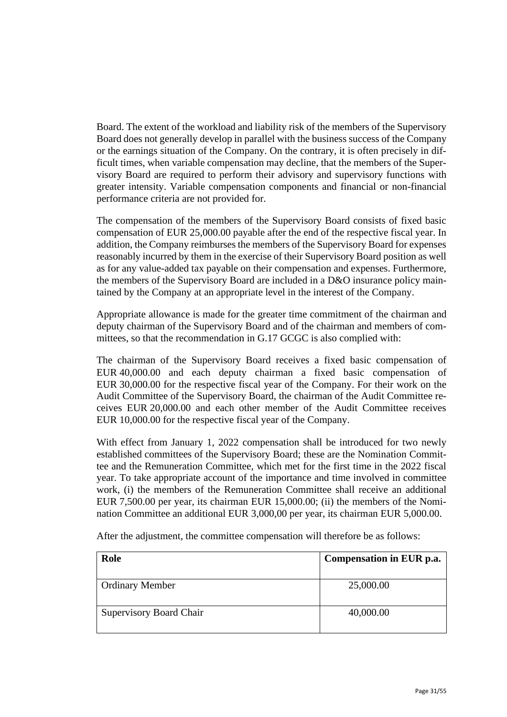Board. The extent of the workload and liability risk of the members of the Supervisory Board does not generally develop in parallel with the business success of the Company or the earnings situation of the Company. On the contrary, it is often precisely in difficult times, when variable compensation may decline, that the members of the Supervisory Board are required to perform their advisory and supervisory functions with greater intensity. Variable compensation components and financial or non-financial performance criteria are not provided for.

The compensation of the members of the Supervisory Board consists of fixed basic compensation of EUR 25,000.00 payable after the end of the respective fiscal year. In addition, the Company reimburses the members of the Supervisory Board for expenses reasonably incurred by them in the exercise of their Supervisory Board position as well as for any value-added tax payable on their compensation and expenses. Furthermore, the members of the Supervisory Board are included in a D&O insurance policy maintained by the Company at an appropriate level in the interest of the Company.

Appropriate allowance is made for the greater time commitment of the chairman and deputy chairman of the Supervisory Board and of the chairman and members of committees, so that the recommendation in G.17 GCGC is also complied with:

The chairman of the Supervisory Board receives a fixed basic compensation of EUR 40,000.00 and each deputy chairman a fixed basic compensation of EUR 30,000.00 for the respective fiscal year of the Company. For their work on the Audit Committee of the Supervisory Board, the chairman of the Audit Committee receives EUR 20,000.00 and each other member of the Audit Committee receives EUR 10,000.00 for the respective fiscal year of the Company.

With effect from January 1, 2022 compensation shall be introduced for two newly established committees of the Supervisory Board; these are the Nomination Committee and the Remuneration Committee, which met for the first time in the 2022 fiscal year. To take appropriate account of the importance and time involved in committee work, (i) the members of the Remuneration Committee shall receive an additional EUR 7,500.00 per year, its chairman EUR 15,000.00; (ii) the members of the Nomination Committee an additional EUR 3,000,00 per year, its chairman EUR 5,000.00.

| Role                           | Compensation in EUR p.a. |
|--------------------------------|--------------------------|
| <b>Ordinary Member</b>         | 25,000.00                |
| <b>Supervisory Board Chair</b> | 40,000.00                |

After the adjustment, the committee compensation will therefore be as follows: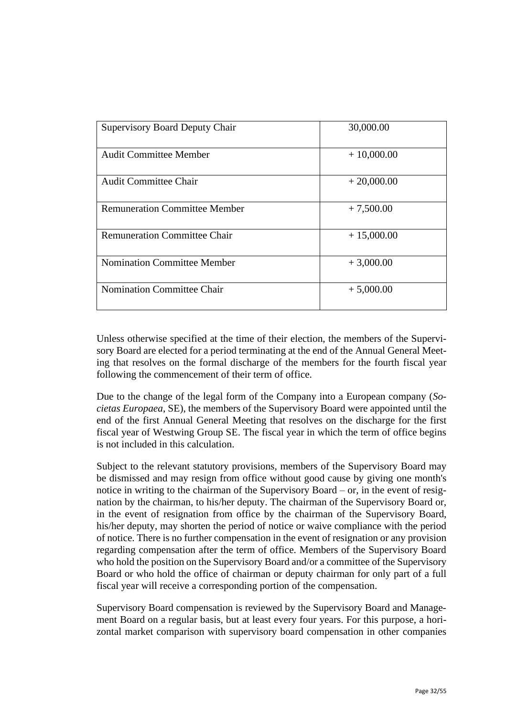| <b>Supervisory Board Deputy Chair</b> | 30,000.00    |
|---------------------------------------|--------------|
| <b>Audit Committee Member</b>         | $+10,000.00$ |
| <b>Audit Committee Chair</b>          | $+20,000.00$ |
| <b>Remuneration Committee Member</b>  | $+7,500.00$  |
| <b>Remuneration Committee Chair</b>   | $+15,000.00$ |
| <b>Nomination Committee Member</b>    | $+3,000.00$  |
| Nomination Committee Chair            | $+5,000.00$  |

Unless otherwise specified at the time of their election, the members of the Supervisory Board are elected for a period terminating at the end of the Annual General Meeting that resolves on the formal discharge of the members for the fourth fiscal year following the commencement of their term of office.

Due to the change of the legal form of the Company into a European company (*Societas Europaea*, SE), the members of the Supervisory Board were appointed until the end of the first Annual General Meeting that resolves on the discharge for the first fiscal year of Westwing Group SE. The fiscal year in which the term of office begins is not included in this calculation.

Subject to the relevant statutory provisions, members of the Supervisory Board may be dismissed and may resign from office without good cause by giving one month's notice in writing to the chairman of the Supervisory Board – or, in the event of resignation by the chairman, to his/her deputy. The chairman of the Supervisory Board or, in the event of resignation from office by the chairman of the Supervisory Board, his/her deputy, may shorten the period of notice or waive compliance with the period of notice. There is no further compensation in the event of resignation or any provision regarding compensation after the term of office. Members of the Supervisory Board who hold the position on the Supervisory Board and/or a committee of the Supervisory Board or who hold the office of chairman or deputy chairman for only part of a full fiscal year will receive a corresponding portion of the compensation.

Supervisory Board compensation is reviewed by the Supervisory Board and Management Board on a regular basis, but at least every four years. For this purpose, a horizontal market comparison with supervisory board compensation in other companies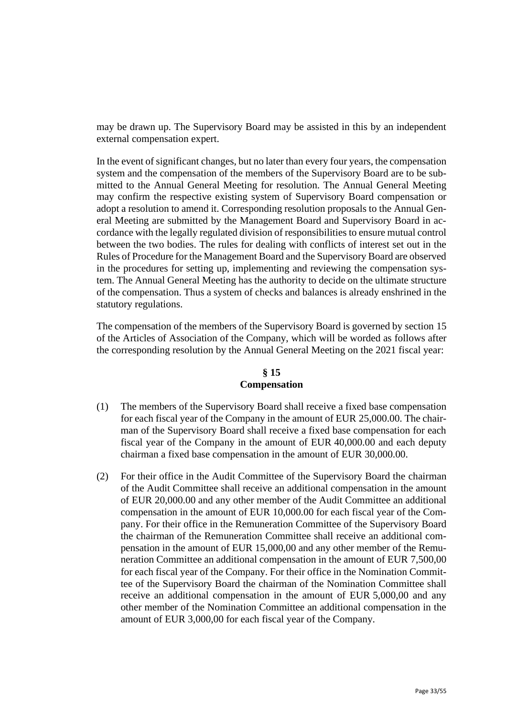may be drawn up. The Supervisory Board may be assisted in this by an independent external compensation expert.

In the event of significant changes, but no later than every four years, the compensation system and the compensation of the members of the Supervisory Board are to be submitted to the Annual General Meeting for resolution. The Annual General Meeting may confirm the respective existing system of Supervisory Board compensation or adopt a resolution to amend it. Corresponding resolution proposals to the Annual General Meeting are submitted by the Management Board and Supervisory Board in accordance with the legally regulated division of responsibilities to ensure mutual control between the two bodies. The rules for dealing with conflicts of interest set out in the Rules of Procedure for the Management Board and the Supervisory Board are observed in the procedures for setting up, implementing and reviewing the compensation system. The Annual General Meeting has the authority to decide on the ultimate structure of the compensation. Thus a system of checks and balances is already enshrined in the statutory regulations.

The compensation of the members of the Supervisory Board is governed by section 15 of the Articles of Association of the Company, which will be worded as follows after the corresponding resolution by the Annual General Meeting on the 2021 fiscal year:

## **§ 15 Compensation**

- (1) The members of the Supervisory Board shall receive a fixed base compensation for each fiscal year of the Company in the amount of EUR 25,000.00. The chairman of the Supervisory Board shall receive a fixed base compensation for each fiscal year of the Company in the amount of EUR 40,000.00 and each deputy chairman a fixed base compensation in the amount of EUR 30,000.00.
- (2) For their office in the Audit Committee of the Supervisory Board the chairman of the Audit Committee shall receive an additional compensation in the amount of EUR 20,000.00 and any other member of the Audit Committee an additional compensation in the amount of EUR 10,000.00 for each fiscal year of the Company. For their office in the Remuneration Committee of the Supervisory Board the chairman of the Remuneration Committee shall receive an additional compensation in the amount of EUR 15,000,00 and any other member of the Remuneration Committee an additional compensation in the amount of EUR 7,500,00 for each fiscal year of the Company. For their office in the Nomination Committee of the Supervisory Board the chairman of the Nomination Committee shall receive an additional compensation in the amount of EUR 5,000,00 and any other member of the Nomination Committee an additional compensation in the amount of EUR 3,000,00 for each fiscal year of the Company.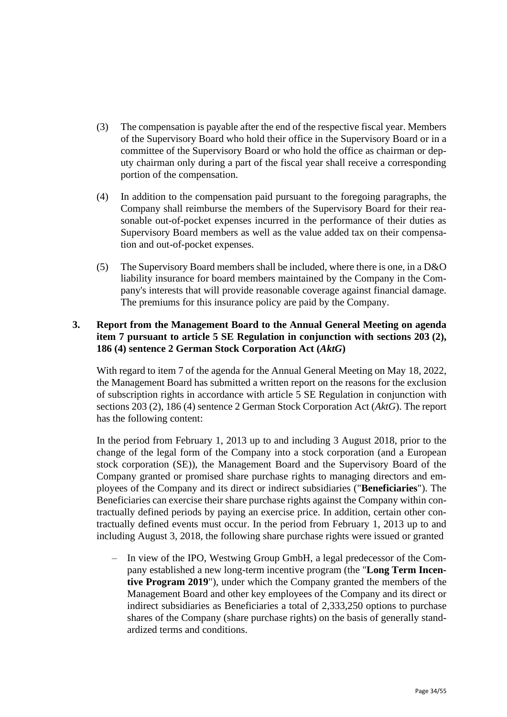- (3) The compensation is payable after the end of the respective fiscal year. Members of the Supervisory Board who hold their office in the Supervisory Board or in a committee of the Supervisory Board or who hold the office as chairman or deputy chairman only during a part of the fiscal year shall receive a corresponding portion of the compensation.
- (4) In addition to the compensation paid pursuant to the foregoing paragraphs, the Company shall reimburse the members of the Supervisory Board for their reasonable out-of-pocket expenses incurred in the performance of their duties as Supervisory Board members as well as the value added tax on their compensation and out-of-pocket expenses.
- (5) The Supervisory Board members shall be included, where there is one, in a D&O liability insurance for board members maintained by the Company in the Company's interests that will provide reasonable coverage against financial damage. The premiums for this insurance policy are paid by the Company.

## **3. Report from the Management Board to the Annual General Meeting on agenda item 7 pursuant to article 5 SE Regulation in conjunction with sections 203 (2), 186 (4) sentence 2 German Stock Corporation Act (***AktG***)**

With regard to item 7 of the agenda for the Annual General Meeting on May 18, 2022, the Management Board has submitted a written report on the reasons for the exclusion of subscription rights in accordance with article 5 SE Regulation in conjunction with sections 203 (2), 186 (4) sentence 2 German Stock Corporation Act (*AktG*). The report has the following content:

In the period from February 1, 2013 up to and including 3 August 2018, prior to the change of the legal form of the Company into a stock corporation (and a European stock corporation (SE)), the Management Board and the Supervisory Board of the Company granted or promised share purchase rights to managing directors and employees of the Company and its direct or indirect subsidiaries ("**Beneficiaries**"). The Beneficiaries can exercise their share purchase rights against the Company within contractually defined periods by paying an exercise price. In addition, certain other contractually defined events must occur. In the period from February 1, 2013 up to and including August 3, 2018, the following share purchase rights were issued or granted

– In view of the IPO, Westwing Group GmbH, a legal predecessor of the Company established a new long-term incentive program (the "**Long Term Incentive Program 2019**"), under which the Company granted the members of the Management Board and other key employees of the Company and its direct or indirect subsidiaries as Beneficiaries a total of 2,333,250 options to purchase shares of the Company (share purchase rights) on the basis of generally standardized terms and conditions.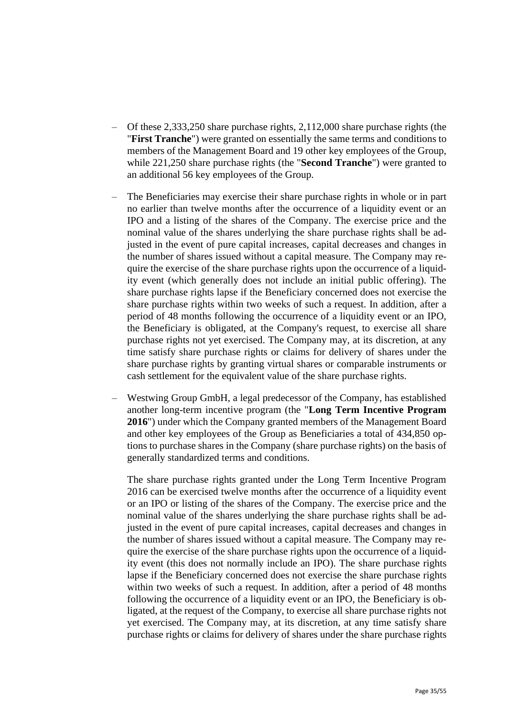- Of these 2,333,250 share purchase rights, 2,112,000 share purchase rights (the "**First Tranche**") were granted on essentially the same terms and conditions to members of the Management Board and 19 other key employees of the Group, while 221,250 share purchase rights (the "**Second Tranche**") were granted to an additional 56 key employees of the Group.
- The Beneficiaries may exercise their share purchase rights in whole or in part no earlier than twelve months after the occurrence of a liquidity event or an IPO and a listing of the shares of the Company. The exercise price and the nominal value of the shares underlying the share purchase rights shall be adjusted in the event of pure capital increases, capital decreases and changes in the number of shares issued without a capital measure. The Company may require the exercise of the share purchase rights upon the occurrence of a liquidity event (which generally does not include an initial public offering). The share purchase rights lapse if the Beneficiary concerned does not exercise the share purchase rights within two weeks of such a request. In addition, after a period of 48 months following the occurrence of a liquidity event or an IPO, the Beneficiary is obligated, at the Company's request, to exercise all share purchase rights not yet exercised. The Company may, at its discretion, at any time satisfy share purchase rights or claims for delivery of shares under the share purchase rights by granting virtual shares or comparable instruments or cash settlement for the equivalent value of the share purchase rights.
- Westwing Group GmbH, a legal predecessor of the Company, has established another long-term incentive program (the "**Long Term Incentive Program 2016**") under which the Company granted members of the Management Board and other key employees of the Group as Beneficiaries a total of 434,850 options to purchase shares in the Company (share purchase rights) on the basis of generally standardized terms and conditions.

The share purchase rights granted under the Long Term Incentive Program 2016 can be exercised twelve months after the occurrence of a liquidity event or an IPO or listing of the shares of the Company. The exercise price and the nominal value of the shares underlying the share purchase rights shall be adjusted in the event of pure capital increases, capital decreases and changes in the number of shares issued without a capital measure. The Company may require the exercise of the share purchase rights upon the occurrence of a liquidity event (this does not normally include an IPO). The share purchase rights lapse if the Beneficiary concerned does not exercise the share purchase rights within two weeks of such a request. In addition, after a period of 48 months following the occurrence of a liquidity event or an IPO, the Beneficiary is obligated, at the request of the Company, to exercise all share purchase rights not yet exercised. The Company may, at its discretion, at any time satisfy share purchase rights or claims for delivery of shares under the share purchase rights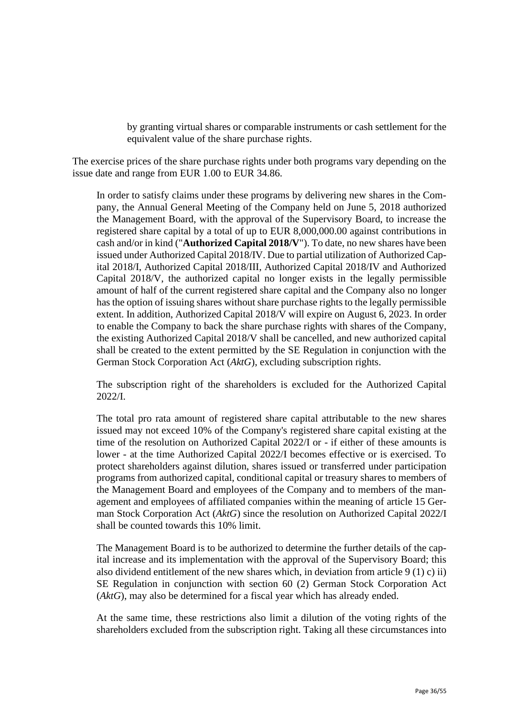by granting virtual shares or comparable instruments or cash settlement for the equivalent value of the share purchase rights.

The exercise prices of the share purchase rights under both programs vary depending on the issue date and range from EUR 1.00 to EUR 34.86.

In order to satisfy claims under these programs by delivering new shares in the Company, the Annual General Meeting of the Company held on June 5, 2018 authorized the Management Board, with the approval of the Supervisory Board, to increase the registered share capital by a total of up to EUR 8,000,000.00 against contributions in cash and/or in kind ("**Authorized Capital 2018/V**"). To date, no new shares have been issued under Authorized Capital 2018/IV. Due to partial utilization of Authorized Capital 2018/I, Authorized Capital 2018/III, Authorized Capital 2018/IV and Authorized Capital 2018/V, the authorized capital no longer exists in the legally permissible amount of half of the current registered share capital and the Company also no longer has the option of issuing shares without share purchase rights to the legally permissible extent. In addition, Authorized Capital 2018/V will expire on August 6, 2023. In order to enable the Company to back the share purchase rights with shares of the Company, the existing Authorized Capital 2018/V shall be cancelled, and new authorized capital shall be created to the extent permitted by the SE Regulation in conjunction with the German Stock Corporation Act (*AktG*), excluding subscription rights.

The subscription right of the shareholders is excluded for the Authorized Capital 2022/I.

The total pro rata amount of registered share capital attributable to the new shares issued may not exceed 10% of the Company's registered share capital existing at the time of the resolution on Authorized Capital 2022/I or - if either of these amounts is lower - at the time Authorized Capital 2022/I becomes effective or is exercised. To protect shareholders against dilution, shares issued or transferred under participation programs from authorized capital, conditional capital or treasury shares to members of the Management Board and employees of the Company and to members of the management and employees of affiliated companies within the meaning of article 15 German Stock Corporation Act (*AktG*) since the resolution on Authorized Capital 2022/I shall be counted towards this 10% limit.

The Management Board is to be authorized to determine the further details of the capital increase and its implementation with the approval of the Supervisory Board; this also dividend entitlement of the new shares which, in deviation from article 9 (1) c) ii) SE Regulation in conjunction with section 60 (2) German Stock Corporation Act (*AktG*), may also be determined for a fiscal year which has already ended.

At the same time, these restrictions also limit a dilution of the voting rights of the shareholders excluded from the subscription right. Taking all these circumstances into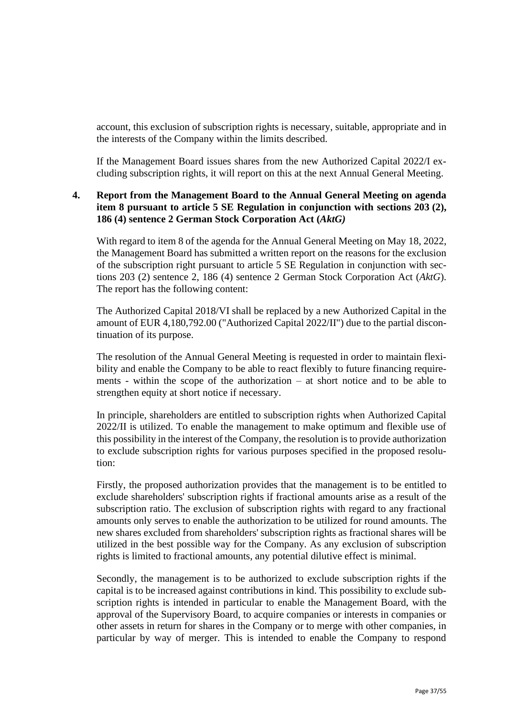account, this exclusion of subscription rights is necessary, suitable, appropriate and in the interests of the Company within the limits described.

If the Management Board issues shares from the new Authorized Capital 2022/I excluding subscription rights, it will report on this at the next Annual General Meeting.

## **4. Report from the Management Board to the Annual General Meeting on agenda item 8 pursuant to article 5 SE Regulation in conjunction with sections 203 (2), 186 (4) sentence 2 German Stock Corporation Act (***AktG)*

With regard to item 8 of the agenda for the Annual General Meeting on May 18, 2022, the Management Board has submitted a written report on the reasons for the exclusion of the subscription right pursuant to article 5 SE Regulation in conjunction with sections 203 (2) sentence 2, 186 (4) sentence 2 German Stock Corporation Act (*AktG*). The report has the following content:

The Authorized Capital 2018/VI shall be replaced by a new Authorized Capital in the amount of EUR 4,180,792.00 ("Authorized Capital 2022/II") due to the partial discontinuation of its purpose.

The resolution of the Annual General Meeting is requested in order to maintain flexibility and enable the Company to be able to react flexibly to future financing requirements - within the scope of the authorization – at short notice and to be able to strengthen equity at short notice if necessary.

In principle, shareholders are entitled to subscription rights when Authorized Capital 2022/II is utilized. To enable the management to make optimum and flexible use of this possibility in the interest of the Company, the resolution is to provide authorization to exclude subscription rights for various purposes specified in the proposed resolution:

Firstly, the proposed authorization provides that the management is to be entitled to exclude shareholders' subscription rights if fractional amounts arise as a result of the subscription ratio. The exclusion of subscription rights with regard to any fractional amounts only serves to enable the authorization to be utilized for round amounts. The new shares excluded from shareholders' subscription rights as fractional shares will be utilized in the best possible way for the Company. As any exclusion of subscription rights is limited to fractional amounts, any potential dilutive effect is minimal.

Secondly, the management is to be authorized to exclude subscription rights if the capital is to be increased against contributions in kind. This possibility to exclude subscription rights is intended in particular to enable the Management Board, with the approval of the Supervisory Board, to acquire companies or interests in companies or other assets in return for shares in the Company or to merge with other companies, in particular by way of merger. This is intended to enable the Company to respond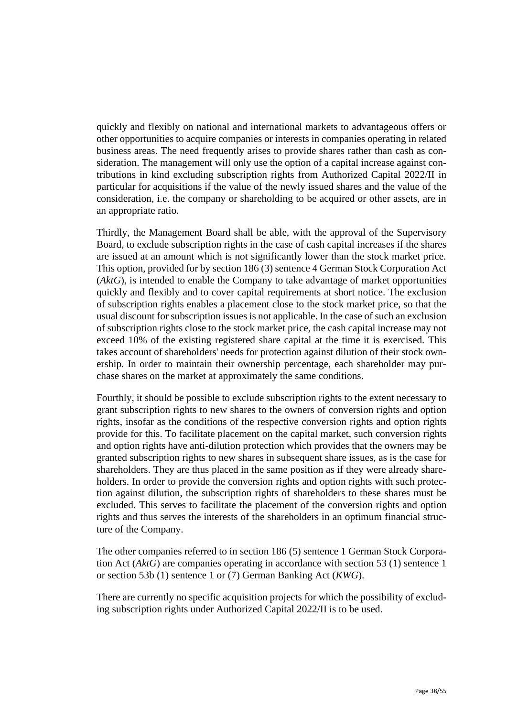quickly and flexibly on national and international markets to advantageous offers or other opportunities to acquire companies or interests in companies operating in related business areas. The need frequently arises to provide shares rather than cash as consideration. The management will only use the option of a capital increase against contributions in kind excluding subscription rights from Authorized Capital 2022/II in particular for acquisitions if the value of the newly issued shares and the value of the consideration, i.e. the company or shareholding to be acquired or other assets, are in an appropriate ratio.

Thirdly, the Management Board shall be able, with the approval of the Supervisory Board, to exclude subscription rights in the case of cash capital increases if the shares are issued at an amount which is not significantly lower than the stock market price. This option, provided for by section 186 (3) sentence 4 German Stock Corporation Act (*AktG*), is intended to enable the Company to take advantage of market opportunities quickly and flexibly and to cover capital requirements at short notice. The exclusion of subscription rights enables a placement close to the stock market price, so that the usual discount for subscription issues is not applicable. In the case of such an exclusion of subscription rights close to the stock market price, the cash capital increase may not exceed 10% of the existing registered share capital at the time it is exercised. This takes account of shareholders' needs for protection against dilution of their stock ownership. In order to maintain their ownership percentage, each shareholder may purchase shares on the market at approximately the same conditions.

Fourthly, it should be possible to exclude subscription rights to the extent necessary to grant subscription rights to new shares to the owners of conversion rights and option rights, insofar as the conditions of the respective conversion rights and option rights provide for this. To facilitate placement on the capital market, such conversion rights and option rights have anti-dilution protection which provides that the owners may be granted subscription rights to new shares in subsequent share issues, as is the case for shareholders. They are thus placed in the same position as if they were already shareholders. In order to provide the conversion rights and option rights with such protection against dilution, the subscription rights of shareholders to these shares must be excluded. This serves to facilitate the placement of the conversion rights and option rights and thus serves the interests of the shareholders in an optimum financial structure of the Company.

The other companies referred to in section 186 (5) sentence 1 German Stock Corporation Act (*AktG*) are companies operating in accordance with section 53 (1) sentence 1 or section 53b (1) sentence 1 or (7) German Banking Act (*KWG*).

There are currently no specific acquisition projects for which the possibility of excluding subscription rights under Authorized Capital 2022/II is to be used.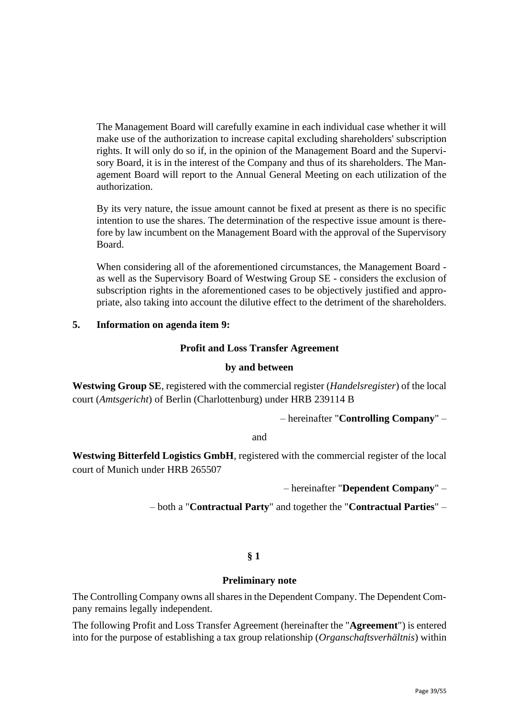The Management Board will carefully examine in each individual case whether it will make use of the authorization to increase capital excluding shareholders' subscription rights. It will only do so if, in the opinion of the Management Board and the Supervisory Board, it is in the interest of the Company and thus of its shareholders. The Management Board will report to the Annual General Meeting on each utilization of the authorization.

By its very nature, the issue amount cannot be fixed at present as there is no specific intention to use the shares. The determination of the respective issue amount is therefore by law incumbent on the Management Board with the approval of the Supervisory Board.

When considering all of the aforementioned circumstances, the Management Board as well as the Supervisory Board of Westwing Group SE - considers the exclusion of subscription rights in the aforementioned cases to be objectively justified and appropriate, also taking into account the dilutive effect to the detriment of the shareholders.

## **5. Information on agenda item 9:**

## **Profit and Loss Transfer Agreement**

## **by and between**

**Westwing Group SE**, registered with the commercial register (*Handelsregister*) of the local court (*Amtsgericht*) of Berlin (Charlottenburg) under HRB 239114 B

– hereinafter "**Controlling Company**" –

and

**Westwing Bitterfeld Logistics GmbH**, registered with the commercial register of the local court of Munich under HRB 265507

– hereinafter "**Dependent Company**" –

– both a "**Contractual Party**" and together the "**Contractual Parties**" –

## **§ 1**

## **Preliminary note**

The Controlling Company owns all shares in the Dependent Company. The Dependent Company remains legally independent.

The following Profit and Loss Transfer Agreement (hereinafter the "**Agreement**") is entered into for the purpose of establishing a tax group relationship (*Organschaftsverhältnis*) within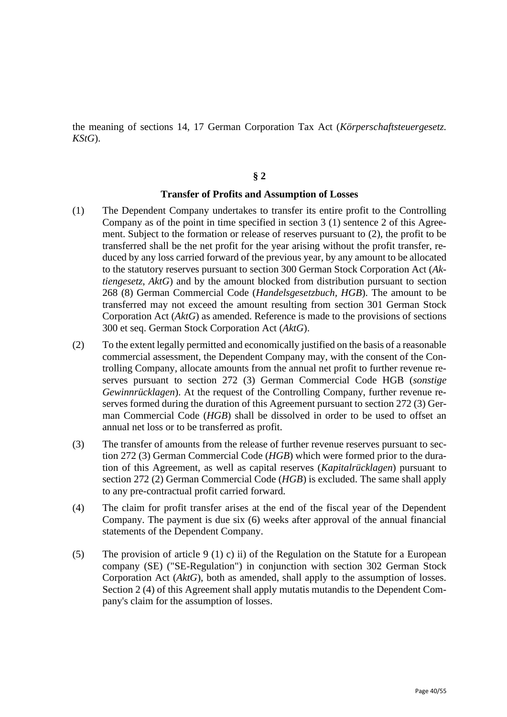the meaning of sections 14, 17 German Corporation Tax Act (*Körperschaftsteuergesetz. KStG*).

#### **§ 2**

#### **Transfer of Profits and Assumption of Losses**

- (1) The Dependent Company undertakes to transfer its entire profit to the Controlling Company as of the point in time specified in section 3 (1) sentence 2 of this Agreement. Subject to the formation or release of reserves pursuant to (2), the profit to be transferred shall be the net profit for the year arising without the profit transfer, reduced by any loss carried forward of the previous year, by any amount to be allocated to the statutory reserves pursuant to section 300 German Stock Corporation Act (*Aktiengesetz*, *AktG*) and by the amount blocked from distribution pursuant to section 268 (8) German Commercial Code (*Handelsgesetzbuch, HGB*). The amount to be transferred may not exceed the amount resulting from section 301 German Stock Corporation Act (*AktG*) as amended. Reference is made to the provisions of sections 300 et seq. German Stock Corporation Act (*AktG*).
- (2) To the extent legally permitted and economically justified on the basis of a reasonable commercial assessment, the Dependent Company may, with the consent of the Controlling Company, allocate amounts from the annual net profit to further revenue reserves pursuant to section 272 (3) German Commercial Code HGB (*sonstige Gewinnrücklagen*). At the request of the Controlling Company, further revenue reserves formed during the duration of this Agreement pursuant to section 272 (3) German Commercial Code (*HGB*) shall be dissolved in order to be used to offset an annual net loss or to be transferred as profit.
- (3) The transfer of amounts from the release of further revenue reserves pursuant to section 272 (3) German Commercial Code (*HGB*) which were formed prior to the duration of this Agreement, as well as capital reserves (*Kapitalrücklagen*) pursuant to section 272 (2) German Commercial Code (*HGB*) is excluded. The same shall apply to any pre-contractual profit carried forward.
- (4) The claim for profit transfer arises at the end of the fiscal year of the Dependent Company. The payment is due six (6) weeks after approval of the annual financial statements of the Dependent Company.
- (5) The provision of article 9 (1) c) ii) of the Regulation on the Statute for a European company (SE) ("SE-Regulation") in conjunction with section 302 German Stock Corporation Act (*AktG*), both as amended, shall apply to the assumption of losses. Section 2 (4) of this Agreement shall apply mutatis mutandis to the Dependent Company's claim for the assumption of losses.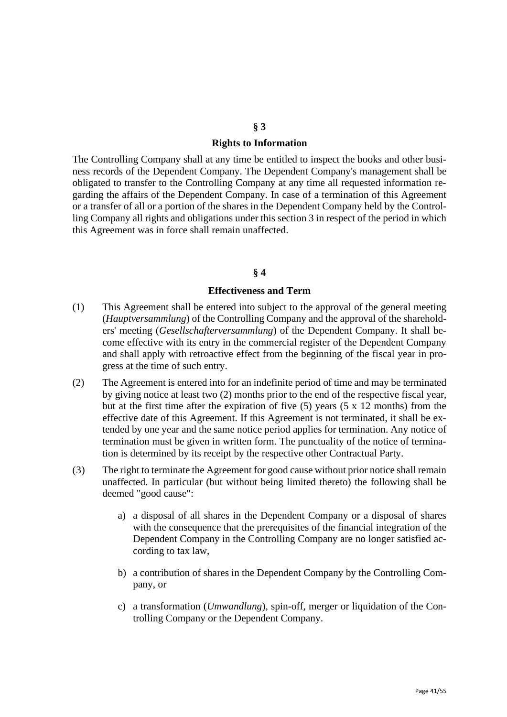## **§ 3 Rights to Information**

The Controlling Company shall at any time be entitled to inspect the books and other business records of the Dependent Company. The Dependent Company's management shall be obligated to transfer to the Controlling Company at any time all requested information regarding the affairs of the Dependent Company. In case of a termination of this Agreement or a transfer of all or a portion of the shares in the Dependent Company held by the Controlling Company all rights and obligations under this section 3 in respect of the period in which this Agreement was in force shall remain unaffected.

#### **§ 4**

#### **Effectiveness and Term**

- (1) This Agreement shall be entered into subject to the approval of the general meeting (*Hauptversammlung*) of the Controlling Company and the approval of the shareholders' meeting (*Gesellschafterversammlung*) of the Dependent Company. It shall become effective with its entry in the commercial register of the Dependent Company and shall apply with retroactive effect from the beginning of the fiscal year in progress at the time of such entry.
- (2) The Agreement is entered into for an indefinite period of time and may be terminated by giving notice at least two (2) months prior to the end of the respective fiscal year, but at the first time after the expiration of five  $(5)$  years  $(5 \times 12 \text{ months})$  from the effective date of this Agreement. If this Agreement is not terminated, it shall be extended by one year and the same notice period applies for termination. Any notice of termination must be given in written form. The punctuality of the notice of termination is determined by its receipt by the respective other Contractual Party.
- (3) The right to terminate the Agreement for good cause without prior notice shall remain unaffected. In particular (but without being limited thereto) the following shall be deemed "good cause":
	- a) a disposal of all shares in the Dependent Company or a disposal of shares with the consequence that the prerequisites of the financial integration of the Dependent Company in the Controlling Company are no longer satisfied according to tax law,
	- b) a contribution of shares in the Dependent Company by the Controlling Company, or
	- c) a transformation (*Umwandlung*), spin-off, merger or liquidation of the Controlling Company or the Dependent Company.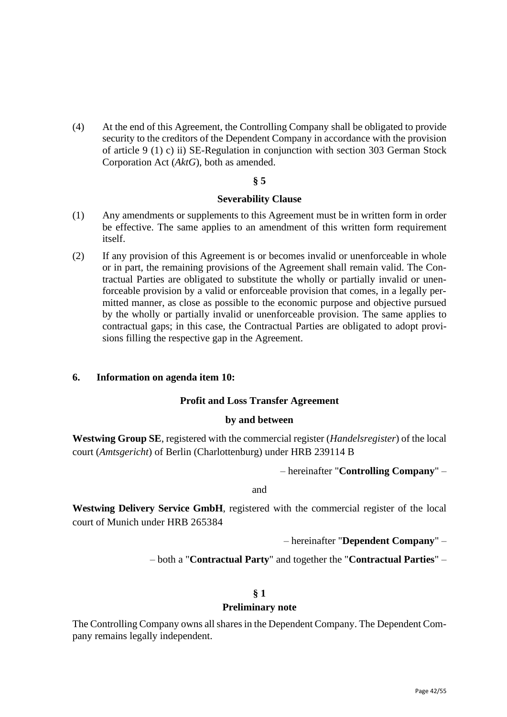(4) At the end of this Agreement, the Controlling Company shall be obligated to provide security to the creditors of the Dependent Company in accordance with the provision of article 9 (1) c) ii) SE-Regulation in conjunction with section 303 German Stock Corporation Act (*AktG*), both as amended.

## **§ 5**

#### **Severability Clause**

- (1) Any amendments or supplements to this Agreement must be in written form in order be effective. The same applies to an amendment of this written form requirement itself.
- (2) If any provision of this Agreement is or becomes invalid or unenforceable in whole or in part, the remaining provisions of the Agreement shall remain valid. The Contractual Parties are obligated to substitute the wholly or partially invalid or unenforceable provision by a valid or enforceable provision that comes, in a legally permitted manner, as close as possible to the economic purpose and objective pursued by the wholly or partially invalid or unenforceable provision. The same applies to contractual gaps; in this case, the Contractual Parties are obligated to adopt provisions filling the respective gap in the Agreement.

## **6. Information on agenda item 10:**

#### **Profit and Loss Transfer Agreement**

### **by and between**

**Westwing Group SE**, registered with the commercial register (*Handelsregister*) of the local court (*Amtsgericht*) of Berlin (Charlottenburg) under HRB 239114 B

– hereinafter "**Controlling Company**" –

and

**Westwing Delivery Service GmbH**, registered with the commercial register of the local court of Munich under HRB 265384

– hereinafter "**Dependent Company**" –

– both a "**Contractual Party**" and together the "**Contractual Parties**" –

#### **§ 1**

#### **Preliminary note**

The Controlling Company owns all shares in the Dependent Company. The Dependent Company remains legally independent.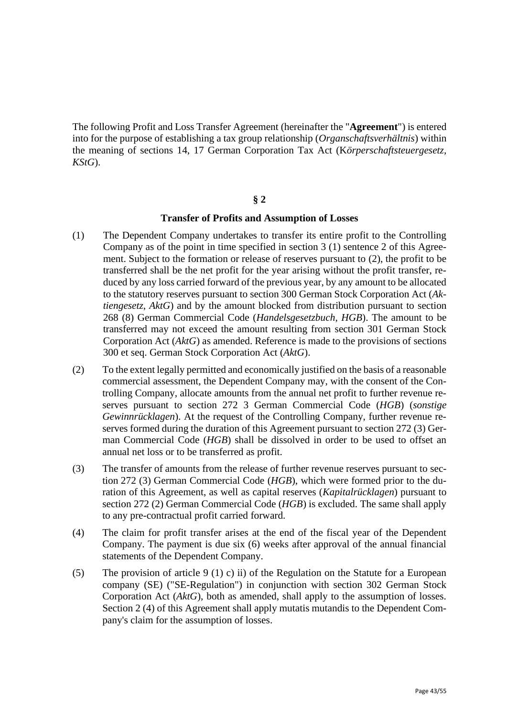The following Profit and Loss Transfer Agreement (hereinafter the "**Agreement**") is entered into for the purpose of establishing a tax group relationship (*Organschaftsverhältnis*) within the meaning of sections 14, 17 German Corporation Tax Act (K*örperschaftsteuergesetz, KStG*).

#### **§ 2**

#### **Transfer of Profits and Assumption of Losses**

- (1) The Dependent Company undertakes to transfer its entire profit to the Controlling Company as of the point in time specified in section 3 (1) sentence 2 of this Agreement. Subject to the formation or release of reserves pursuant to (2), the profit to be transferred shall be the net profit for the year arising without the profit transfer, reduced by any loss carried forward of the previous year, by any amount to be allocated to the statutory reserves pursuant to section 300 German Stock Corporation Act (*Aktiengesetz*, *AktG*) and by the amount blocked from distribution pursuant to section 268 (8) German Commercial Code (*Handelsgesetzbuch, HGB*). The amount to be transferred may not exceed the amount resulting from section 301 German Stock Corporation Act (*AktG*) as amended. Reference is made to the provisions of sections 300 et seq. German Stock Corporation Act (*AktG*).
- (2) To the extent legally permitted and economically justified on the basis of a reasonable commercial assessment, the Dependent Company may, with the consent of the Controlling Company, allocate amounts from the annual net profit to further revenue reserves pursuant to section 272 3 German Commercial Code (*HGB*) (*sonstige Gewinnrücklagen*). At the request of the Controlling Company, further revenue reserves formed during the duration of this Agreement pursuant to section 272 (3) German Commercial Code (*HGB*) shall be dissolved in order to be used to offset an annual net loss or to be transferred as profit.
- (3) The transfer of amounts from the release of further revenue reserves pursuant to section 272 (3) German Commercial Code (*HGB*), which were formed prior to the duration of this Agreement, as well as capital reserves (*Kapitalrücklagen*) pursuant to section 272 (2) German Commercial Code (*HGB*) is excluded. The same shall apply to any pre-contractual profit carried forward.
- (4) The claim for profit transfer arises at the end of the fiscal year of the Dependent Company. The payment is due six (6) weeks after approval of the annual financial statements of the Dependent Company.
- (5) The provision of article 9 (1) c) ii) of the Regulation on the Statute for a European company (SE) ("SE-Regulation") in conjunction with section 302 German Stock Corporation Act (*AktG*), both as amended, shall apply to the assumption of losses. Section 2 (4) of this Agreement shall apply mutatis mutandis to the Dependent Company's claim for the assumption of losses.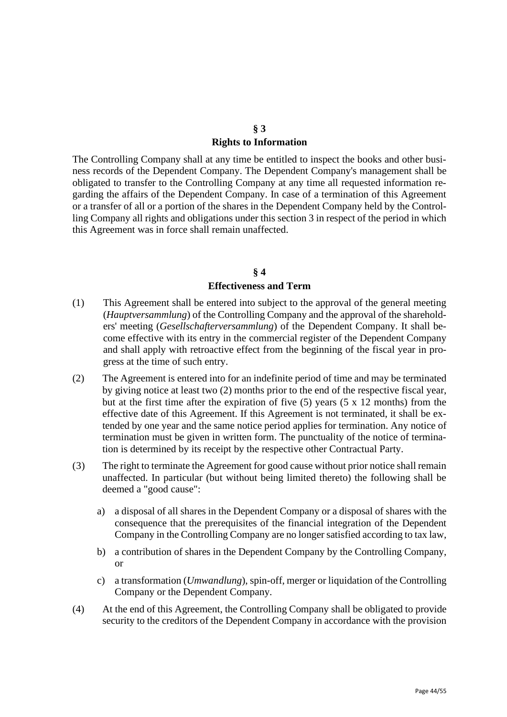## **§ 3 Rights to Information**

The Controlling Company shall at any time be entitled to inspect the books and other business records of the Dependent Company. The Dependent Company's management shall be obligated to transfer to the Controlling Company at any time all requested information regarding the affairs of the Dependent Company. In case of a termination of this Agreement or a transfer of all or a portion of the shares in the Dependent Company held by the Controlling Company all rights and obligations under this section 3 in respect of the period in which this Agreement was in force shall remain unaffected.

## **§ 4 Effectiveness and Term**

- (1) This Agreement shall be entered into subject to the approval of the general meeting (*Hauptversammlung*) of the Controlling Company and the approval of the shareholders' meeting (*Gesellschafterversammlung*) of the Dependent Company. It shall become effective with its entry in the commercial register of the Dependent Company and shall apply with retroactive effect from the beginning of the fiscal year in progress at the time of such entry.
- (2) The Agreement is entered into for an indefinite period of time and may be terminated by giving notice at least two (2) months prior to the end of the respective fiscal year, but at the first time after the expiration of five (5) years (5 x 12 months) from the effective date of this Agreement. If this Agreement is not terminated, it shall be extended by one year and the same notice period applies for termination. Any notice of termination must be given in written form. The punctuality of the notice of termination is determined by its receipt by the respective other Contractual Party.
- (3) The right to terminate the Agreement for good cause without prior notice shall remain unaffected. In particular (but without being limited thereto) the following shall be deemed a "good cause":
	- a) a disposal of all shares in the Dependent Company or a disposal of shares with the consequence that the prerequisites of the financial integration of the Dependent Company in the Controlling Company are no longer satisfied according to tax law,
	- b) a contribution of shares in the Dependent Company by the Controlling Company, or
	- c) a transformation (*Umwandlung*), spin-off, merger or liquidation of the Controlling Company or the Dependent Company.
- (4) At the end of this Agreement, the Controlling Company shall be obligated to provide security to the creditors of the Dependent Company in accordance with the provision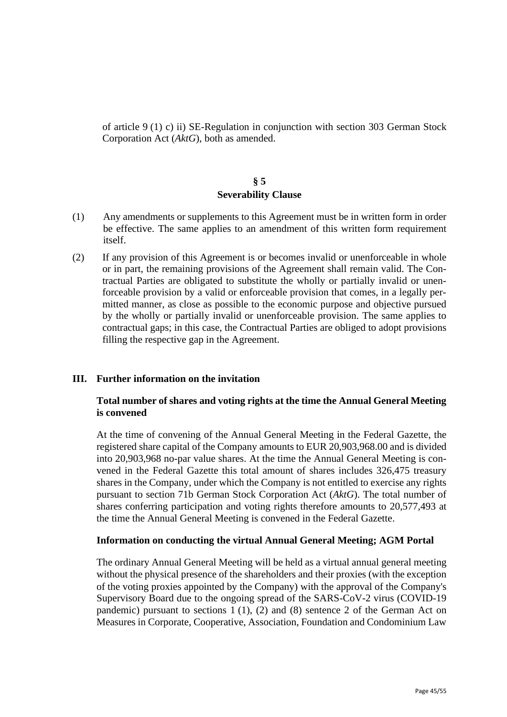of article 9 (1) c) ii) SE-Regulation in conjunction with section 303 German Stock Corporation Act (*AktG*), both as amended.

## **§ 5 Severability Clause**

- (1) Any amendments or supplements to this Agreement must be in written form in order be effective. The same applies to an amendment of this written form requirement itself.
- (2) If any provision of this Agreement is or becomes invalid or unenforceable in whole or in part, the remaining provisions of the Agreement shall remain valid. The Contractual Parties are obligated to substitute the wholly or partially invalid or unenforceable provision by a valid or enforceable provision that comes, in a legally permitted manner, as close as possible to the economic purpose and objective pursued by the wholly or partially invalid or unenforceable provision. The same applies to contractual gaps; in this case, the Contractual Parties are obliged to adopt provisions filling the respective gap in the Agreement.

## **III. Further information on the invitation**

## **Total number of shares and voting rights at the time the Annual General Meeting is convened**

At the time of convening of the Annual General Meeting in the Federal Gazette, the registered share capital of the Company amounts to EUR 20,903,968.00 and is divided into 20,903,968 no-par value shares. At the time the Annual General Meeting is convened in the Federal Gazette this total amount of shares includes 326,475 treasury shares in the Company, under which the Company is not entitled to exercise any rights pursuant to section 71b German Stock Corporation Act (*AktG*). The total number of shares conferring participation and voting rights therefore amounts to 20,577,493 at the time the Annual General Meeting is convened in the Federal Gazette.

## **Information on conducting the virtual Annual General Meeting; AGM Portal**

The ordinary Annual General Meeting will be held as a virtual annual general meeting without the physical presence of the shareholders and their proxies (with the exception of the voting proxies appointed by the Company) with the approval of the Company's Supervisory Board due to the ongoing spread of the SARS-CoV-2 virus (COVID-19 pandemic) pursuant to sections 1 (1), (2) and (8) sentence 2 of the German Act on Measures in Corporate, Cooperative, Association, Foundation and Condominium Law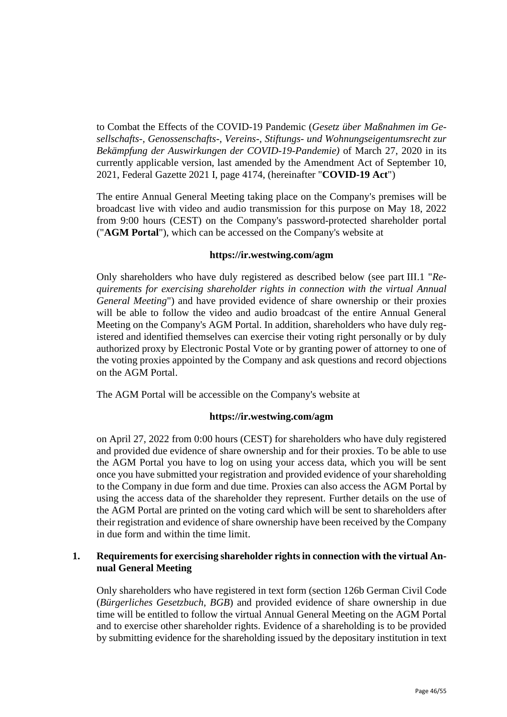to Combat the Effects of the COVID-19 Pandemic (*Gesetz über Maßnahmen im Gesellschafts-, Genossenschafts-, Vereins-, Stiftungs- und Wohnungseigentumsrecht zur Bekämpfung der Auswirkungen der COVID-19-Pandemie)* of March 27, 2020 in its currently applicable version, last amended by the Amendment Act of September 10, 2021, Federal Gazette 2021 I, page 4174, (hereinafter "**COVID-19 Act**")

The entire Annual General Meeting taking place on the Company's premises will be broadcast live with video and audio transmission for this purpose on May 18, 2022 from 9:00 hours (CEST) on the Company's password-protected shareholder portal ("**AGM Portal**"), which can be accessed on the Company's website at

## **https://ir.westwing.com/agm**

Only shareholders who have duly registered as described below (see part III.1 "*Requirements for exercising shareholder rights in connection with the virtual Annual General Meeting*") and have provided evidence of share ownership or their proxies will be able to follow the video and audio broadcast of the entire Annual General Meeting on the Company's AGM Portal. In addition, shareholders who have duly registered and identified themselves can exercise their voting right personally or by duly authorized proxy by Electronic Postal Vote or by granting power of attorney to one of the voting proxies appointed by the Company and ask questions and record objections on the AGM Portal.

The AGM Portal will be accessible on the Company's website at

## **https://ir.westwing.com/agm**

on April 27, 2022 from 0:00 hours (CEST) for shareholders who have duly registered and provided due evidence of share ownership and for their proxies. To be able to use the AGM Portal you have to log on using your access data, which you will be sent once you have submitted your registration and provided evidence of your shareholding to the Company in due form and due time. Proxies can also access the AGM Portal by using the access data of the shareholder they represent. Further details on the use of the AGM Portal are printed on the voting card which will be sent to shareholders after their registration and evidence of share ownership have been received by the Company in due form and within the time limit.

## **1. Requirements for exercising shareholder rights in connection with the virtual Annual General Meeting**

Only shareholders who have registered in text form (section 126b German Civil Code (*Bürgerliches Gesetzbuch*, *BGB*) and provided evidence of share ownership in due time will be entitled to follow the virtual Annual General Meeting on the AGM Portal and to exercise other shareholder rights. Evidence of a shareholding is to be provided by submitting evidence for the shareholding issued by the depositary institution in text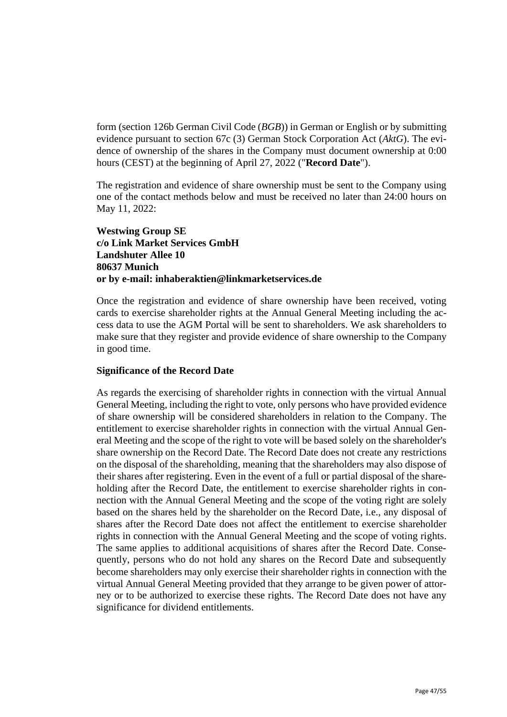form (section 126b German Civil Code (*BGB*)) in German or English or by submitting evidence pursuant to section 67c (3) German Stock Corporation Act (*AktG*). The evidence of ownership of the shares in the Company must document ownership at 0:00 hours (CEST) at the beginning of April 27, 2022 ("**Record Date**").

The registration and evidence of share ownership must be sent to the Company using one of the contact methods below and must be received no later than 24:00 hours on May 11, 2022:

## **Westwing Group SE c/o Link Market Services GmbH Landshuter Allee 10 80637 Munich or by e-mail: inhaberaktien@linkmarketservices.de**

Once the registration and evidence of share ownership have been received, voting cards to exercise shareholder rights at the Annual General Meeting including the access data to use the AGM Portal will be sent to shareholders. We ask shareholders to make sure that they register and provide evidence of share ownership to the Company in good time.

## **Significance of the Record Date**

As regards the exercising of shareholder rights in connection with the virtual Annual General Meeting, including the right to vote, only persons who have provided evidence of share ownership will be considered shareholders in relation to the Company. The entitlement to exercise shareholder rights in connection with the virtual Annual General Meeting and the scope of the right to vote will be based solely on the shareholder's share ownership on the Record Date. The Record Date does not create any restrictions on the disposal of the shareholding, meaning that the shareholders may also dispose of their shares after registering. Even in the event of a full or partial disposal of the shareholding after the Record Date, the entitlement to exercise shareholder rights in connection with the Annual General Meeting and the scope of the voting right are solely based on the shares held by the shareholder on the Record Date, i.e., any disposal of shares after the Record Date does not affect the entitlement to exercise shareholder rights in connection with the Annual General Meeting and the scope of voting rights. The same applies to additional acquisitions of shares after the Record Date. Consequently, persons who do not hold any shares on the Record Date and subsequently become shareholders may only exercise their shareholder rights in connection with the virtual Annual General Meeting provided that they arrange to be given power of attorney or to be authorized to exercise these rights. The Record Date does not have any significance for dividend entitlements.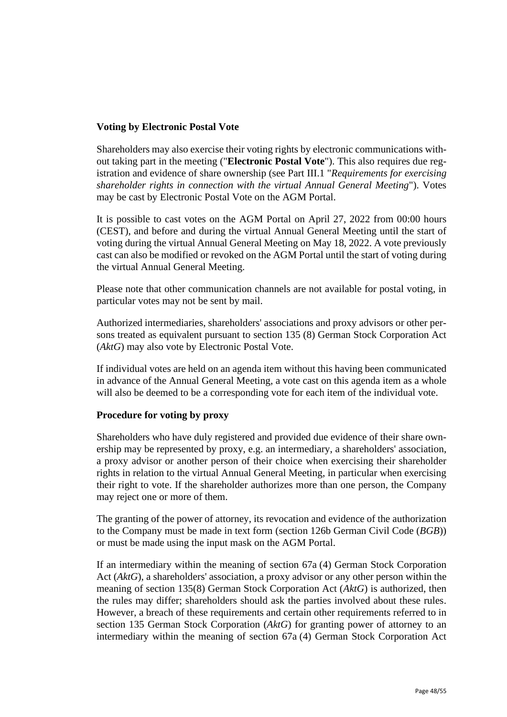## **Voting by Electronic Postal Vote**

Shareholders may also exercise their voting rights by electronic communications without taking part in the meeting ("**Electronic Postal Vote**"). This also requires due registration and evidence of share ownership (see Part III.1 "*Requirements for exercising shareholder rights in connection with the virtual Annual General Meeting*"). Votes may be cast by Electronic Postal Vote on the AGM Portal.

It is possible to cast votes on the AGM Portal on April 27, 2022 from 00:00 hours (CEST), and before and during the virtual Annual General Meeting until the start of voting during the virtual Annual General Meeting on May 18, 2022. A vote previously cast can also be modified or revoked on the AGM Portal until the start of voting during the virtual Annual General Meeting.

Please note that other communication channels are not available for postal voting, in particular votes may not be sent by mail.

Authorized intermediaries, shareholders' associations and proxy advisors or other persons treated as equivalent pursuant to section 135 (8) German Stock Corporation Act (*AktG*) may also vote by Electronic Postal Vote.

If individual votes are held on an agenda item without this having been communicated in advance of the Annual General Meeting, a vote cast on this agenda item as a whole will also be deemed to be a corresponding vote for each item of the individual vote.

## **Procedure for voting by proxy**

Shareholders who have duly registered and provided due evidence of their share ownership may be represented by proxy, e.g. an intermediary, a shareholders' association, a proxy advisor or another person of their choice when exercising their shareholder rights in relation to the virtual Annual General Meeting, in particular when exercising their right to vote. If the shareholder authorizes more than one person, the Company may reject one or more of them.

The granting of the power of attorney, its revocation and evidence of the authorization to the Company must be made in text form (section 126b German Civil Code (*BGB*)) or must be made using the input mask on the AGM Portal.

If an intermediary within the meaning of section 67a (4) German Stock Corporation Act (*AktG*), a shareholders' association, a proxy advisor or any other person within the meaning of section 135(8) German Stock Corporation Act (*AktG*) is authorized, then the rules may differ; shareholders should ask the parties involved about these rules. However, a breach of these requirements and certain other requirements referred to in section 135 German Stock Corporation (*AktG*) for granting power of attorney to an intermediary within the meaning of section 67a (4) German Stock Corporation Act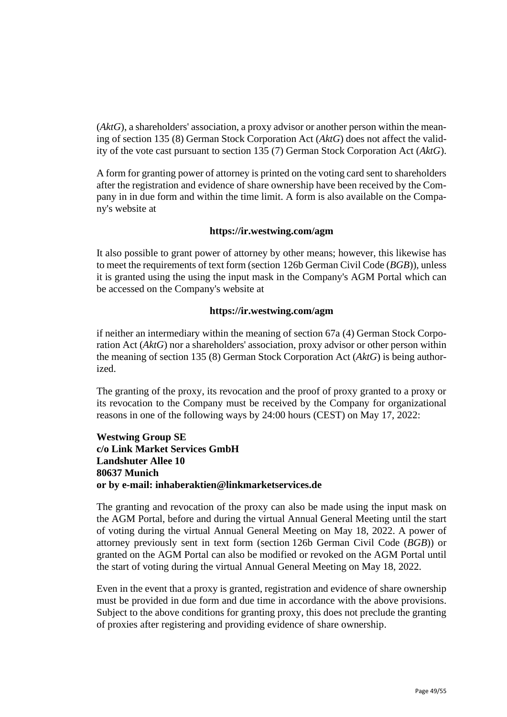(*AktG*), a shareholders' association, a proxy advisor or another person within the meaning of section 135 (8) German Stock Corporation Act (*AktG*) does not affect the validity of the vote cast pursuant to section 135 (7) German Stock Corporation Act (*AktG*).

A form for granting power of attorney is printed on the voting card sent to shareholders after the registration and evidence of share ownership have been received by the Company in in due form and within the time limit. A form is also available on the Company's website at

## **https://ir.westwing.com/agm**

It also possible to grant power of attorney by other means; however, this likewise has to meet the requirements of text form (section 126b German Civil Code (*BGB*)), unless it is granted using the using the input mask in the Company's AGM Portal which can be accessed on the Company's website at

#### **https://ir.westwing.com/agm**

if neither an intermediary within the meaning of section 67a (4) German Stock Corporation Act (*AktG*) nor a shareholders' association, proxy advisor or other person within the meaning of section 135 (8) German Stock Corporation Act (*AktG*) is being authorized.

The granting of the proxy, its revocation and the proof of proxy granted to a proxy or its revocation to the Company must be received by the Company for organizational reasons in one of the following ways by 24:00 hours (CEST) on May 17, 2022:

## **Westwing Group SE c/o Link Market Services GmbH Landshuter Allee 10 80637 Munich or by e-mail: inhaberaktien@linkmarketservices.de**

The granting and revocation of the proxy can also be made using the input mask on the AGM Portal, before and during the virtual Annual General Meeting until the start of voting during the virtual Annual General Meeting on May 18, 2022. A power of attorney previously sent in text form (section 126b German Civil Code (*BGB*)) or granted on the AGM Portal can also be modified or revoked on the AGM Portal until the start of voting during the virtual Annual General Meeting on May 18, 2022.

Even in the event that a proxy is granted, registration and evidence of share ownership must be provided in due form and due time in accordance with the above provisions. Subject to the above conditions for granting proxy, this does not preclude the granting of proxies after registering and providing evidence of share ownership.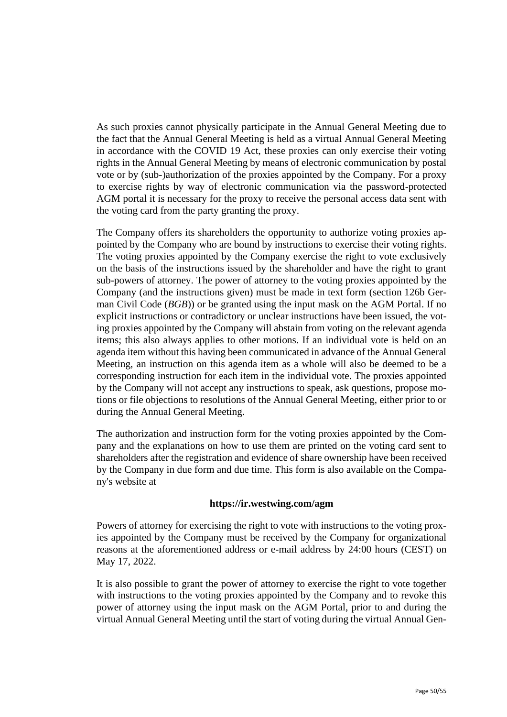As such proxies cannot physically participate in the Annual General Meeting due to the fact that the Annual General Meeting is held as a virtual Annual General Meeting in accordance with the COVID 19 Act, these proxies can only exercise their voting rights in the Annual General Meeting by means of electronic communication by postal vote or by (sub-)authorization of the proxies appointed by the Company. For a proxy to exercise rights by way of electronic communication via the password-protected AGM portal it is necessary for the proxy to receive the personal access data sent with the voting card from the party granting the proxy.

The Company offers its shareholders the opportunity to authorize voting proxies appointed by the Company who are bound by instructions to exercise their voting rights. The voting proxies appointed by the Company exercise the right to vote exclusively on the basis of the instructions issued by the shareholder and have the right to grant sub-powers of attorney. The power of attorney to the voting proxies appointed by the Company (and the instructions given) must be made in text form (section 126b German Civil Code (*BGB*)) or be granted using the input mask on the AGM Portal. If no explicit instructions or contradictory or unclear instructions have been issued, the voting proxies appointed by the Company will abstain from voting on the relevant agenda items; this also always applies to other motions. If an individual vote is held on an agenda item without this having been communicated in advance of the Annual General Meeting, an instruction on this agenda item as a whole will also be deemed to be a corresponding instruction for each item in the individual vote. The proxies appointed by the Company will not accept any instructions to speak, ask questions, propose motions or file objections to resolutions of the Annual General Meeting, either prior to or during the Annual General Meeting.

The authorization and instruction form for the voting proxies appointed by the Company and the explanations on how to use them are printed on the voting card sent to shareholders after the registration and evidence of share ownership have been received by the Company in due form and due time. This form is also available on the Company's website at

## **https://ir.westwing.com/agm**

Powers of attorney for exercising the right to vote with instructions to the voting proxies appointed by the Company must be received by the Company for organizational reasons at the aforementioned address or e-mail address by 24:00 hours (CEST) on May 17, 2022.

It is also possible to grant the power of attorney to exercise the right to vote together with instructions to the voting proxies appointed by the Company and to revoke this power of attorney using the input mask on the AGM Portal, prior to and during the virtual Annual General Meeting until the start of voting during the virtual Annual Gen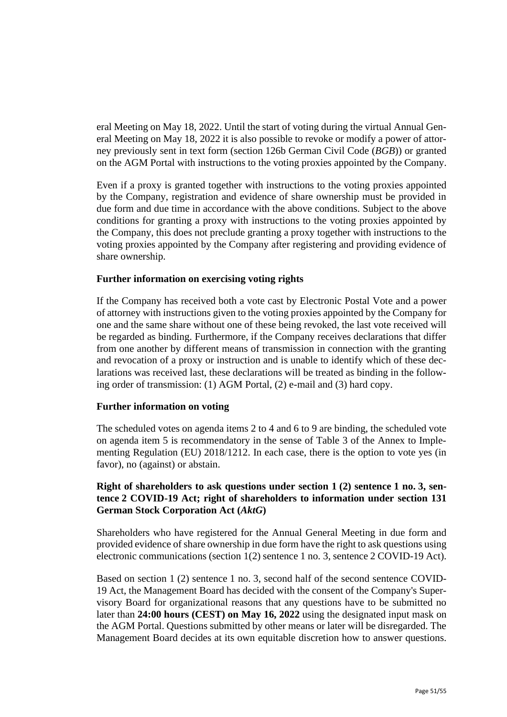eral Meeting on May 18, 2022. Until the start of voting during the virtual Annual General Meeting on May 18, 2022 it is also possible to revoke or modify a power of attorney previously sent in text form (section 126b German Civil Code (*BGB*)) or granted on the AGM Portal with instructions to the voting proxies appointed by the Company.

Even if a proxy is granted together with instructions to the voting proxies appointed by the Company, registration and evidence of share ownership must be provided in due form and due time in accordance with the above conditions. Subject to the above conditions for granting a proxy with instructions to the voting proxies appointed by the Company, this does not preclude granting a proxy together with instructions to the voting proxies appointed by the Company after registering and providing evidence of share ownership.

## **Further information on exercising voting rights**

If the Company has received both a vote cast by Electronic Postal Vote and a power of attorney with instructions given to the voting proxies appointed by the Company for one and the same share without one of these being revoked, the last vote received will be regarded as binding. Furthermore, if the Company receives declarations that differ from one another by different means of transmission in connection with the granting and revocation of a proxy or instruction and is unable to identify which of these declarations was received last, these declarations will be treated as binding in the following order of transmission: (1) AGM Portal, (2) e-mail and (3) hard copy.

## **Further information on voting**

The scheduled votes on agenda items 2 to 4 and 6 to 9 are binding, the scheduled vote on agenda item 5 is recommendatory in the sense of Table 3 of the Annex to Implementing Regulation (EU) 2018/1212. In each case, there is the option to vote yes (in favor), no (against) or abstain.

## **Right of shareholders to ask questions under section 1 (2) sentence 1 no. 3, sentence 2 COVID-19 Act; right of shareholders to information under section 131 German Stock Corporation Act (***AktG***)**

Shareholders who have registered for the Annual General Meeting in due form and provided evidence of share ownership in due form have the right to ask questions using electronic communications (section 1(2) sentence 1 no. 3, sentence 2 COVID-19 Act).

Based on section 1 (2) sentence 1 no. 3, second half of the second sentence COVID-19 Act, the Management Board has decided with the consent of the Company's Supervisory Board for organizational reasons that any questions have to be submitted no later than **24:00 hours (CEST) on May 16, 2022** using the designated input mask on the AGM Portal. Questions submitted by other means or later will be disregarded. The Management Board decides at its own equitable discretion how to answer questions.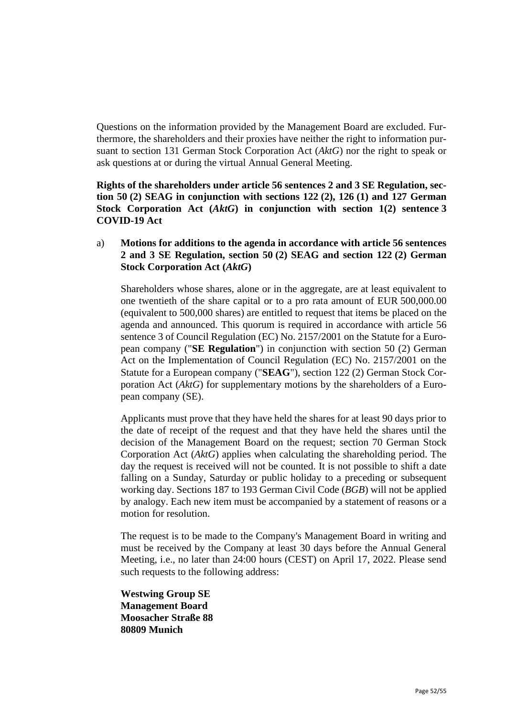Questions on the information provided by the Management Board are excluded. Furthermore, the shareholders and their proxies have neither the right to information pursuant to section 131 German Stock Corporation Act (*AktG*) nor the right to speak or ask questions at or during the virtual Annual General Meeting.

**Rights of the shareholders under article 56 sentences 2 and 3 SE Regulation, section 50 (2) SEAG in conjunction with sections 122 (2), 126 (1) and 127 German Stock Corporation Act (***AktG***) in conjunction with section 1(2) sentence 3 COVID-19 Act**

a) **Motions for additions to the agenda in accordance with article 56 sentences 2 and 3 SE Regulation, section 50 (2) SEAG and section 122 (2) German Stock Corporation Act (***AktG***)**

Shareholders whose shares, alone or in the aggregate, are at least equivalent to one twentieth of the share capital or to a pro rata amount of EUR 500,000.00 (equivalent to 500,000 shares) are entitled to request that items be placed on the agenda and announced. This quorum is required in accordance with article 56 sentence 3 of Council Regulation (EC) No. 2157/2001 on the Statute for a European company ("**SE Regulation**") in conjunction with section 50 (2) German Act on the Implementation of Council Regulation (EC) No. 2157/2001 on the Statute for a European company ("**SEAG**"), section 122 (2) German Stock Corporation Act (*AktG*) for supplementary motions by the shareholders of a European company (SE).

Applicants must prove that they have held the shares for at least 90 days prior to the date of receipt of the request and that they have held the shares until the decision of the Management Board on the request; section 70 German Stock Corporation Act (*AktG*) applies when calculating the shareholding period. The day the request is received will not be counted. It is not possible to shift a date falling on a Sunday, Saturday or public holiday to a preceding or subsequent working day. Sections 187 to 193 German Civil Code (*BGB*) will not be applied by analogy. Each new item must be accompanied by a statement of reasons or a motion for resolution.

The request is to be made to the Company's Management Board in writing and must be received by the Company at least 30 days before the Annual General Meeting, i.e., no later than 24:00 hours (CEST) on April 17, 2022. Please send such requests to the following address:

**Westwing Group SE Management Board Moosacher Straße 88 80809 Munich**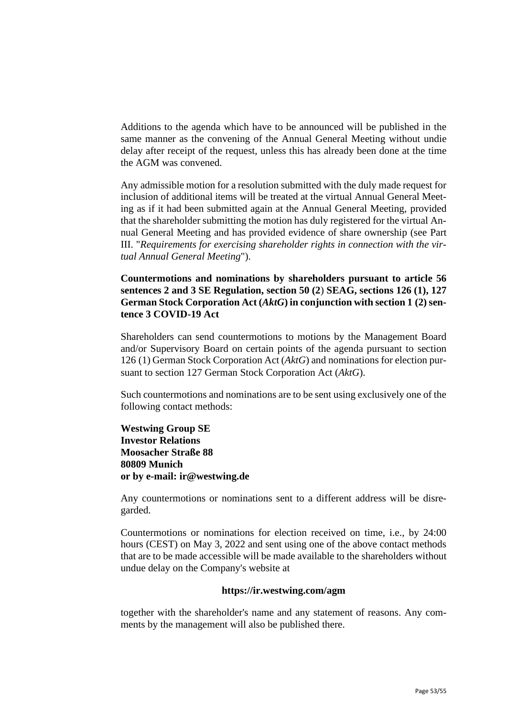Additions to the agenda which have to be announced will be published in the same manner as the convening of the Annual General Meeting without undie delay after receipt of the request, unless this has already been done at the time the AGM was convened.

Any admissible motion for a resolution submitted with the duly made request for inclusion of additional items will be treated at the virtual Annual General Meeting as if it had been submitted again at the Annual General Meeting, provided that the shareholder submitting the motion has duly registered for the virtual Annual General Meeting and has provided evidence of share ownership (see Part III. "*Requirements for exercising shareholder rights in connection with the virtual Annual General Meeting*").

**Countermotions and nominations by shareholders pursuant to article 56 sentences 2 and 3 SE Regulation, section 50 (2**) **SEAG, sections 126 (1), 127** German Stock Corporation Act (*AktG*) in conjunction with section 1 (2) sen**tence 3 COVID-19 Act**

Shareholders can send countermotions to motions by the Management Board and/or Supervisory Board on certain points of the agenda pursuant to section 126 (1) German Stock Corporation Act (*AktG*) and nominations for election pursuant to section 127 German Stock Corporation Act (*AktG*).

Such countermotions and nominations are to be sent using exclusively one of the following contact methods:

**Westwing Group SE Investor Relations Moosacher Straße 88 80809 Munich or by e-mail: ir@westwing.de**

Any countermotions or nominations sent to a different address will be disregarded.

Countermotions or nominations for election received on time, i.e., by 24:00 hours (CEST) on May 3, 2022 and sent using one of the above contact methods that are to be made accessible will be made available to the shareholders without undue delay on the Company's website at

#### **https://ir.westwing.com/agm**

together with the shareholder's name and any statement of reasons. Any comments by the management will also be published there.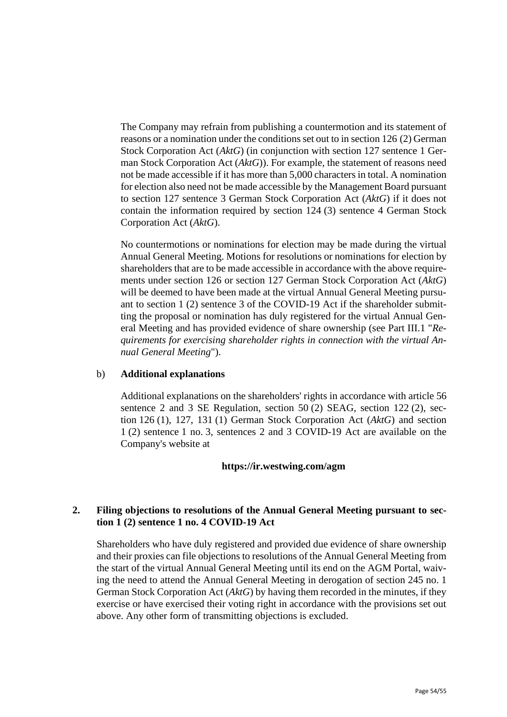The Company may refrain from publishing a countermotion and its statement of reasons or a nomination under the conditions set out to in section 126 (2) German Stock Corporation Act (*AktG*) (in conjunction with section 127 sentence 1 German Stock Corporation Act (*AktG*)). For example, the statement of reasons need not be made accessible if it has more than 5,000 characters in total. A nomination for election also need not be made accessible by the Management Board pursuant to section 127 sentence 3 German Stock Corporation Act (*AktG*) if it does not contain the information required by section 124 (3) sentence 4 German Stock Corporation Act (*AktG*).

No countermotions or nominations for election may be made during the virtual Annual General Meeting. Motions for resolutions or nominations for election by shareholders that are to be made accessible in accordance with the above requirements under section 126 or section 127 German Stock Corporation Act (*AktG*) will be deemed to have been made at the virtual Annual General Meeting pursuant to section 1 (2) sentence 3 of the COVID-19 Act if the shareholder submitting the proposal or nomination has duly registered for the virtual Annual General Meeting and has provided evidence of share ownership (see Part III.1 "*Requirements for exercising shareholder rights in connection with the virtual Annual General Meeting*").

## b) **Additional explanations**

Additional explanations on the shareholders' rights in accordance with article 56 sentence 2 and 3 SE Regulation, section 50 (2) SEAG, section 122 (2), section 126 (1), 127, 131 (1) German Stock Corporation Act (*AktG*) and section 1 (2) sentence 1 no. 3, sentences 2 and 3 COVID-19 Act are available on the Company's website at

### **https://ir.westwing.com/agm**

## **2. Filing objections to resolutions of the Annual General Meeting pursuant to section 1 (2) sentence 1 no. 4 COVID-19 Act**

Shareholders who have duly registered and provided due evidence of share ownership and their proxies can file objections to resolutions of the Annual General Meeting from the start of the virtual Annual General Meeting until its end on the AGM Portal, waiving the need to attend the Annual General Meeting in derogation of section 245 no. 1 German Stock Corporation Act (*AktG*) by having them recorded in the minutes, if they exercise or have exercised their voting right in accordance with the provisions set out above. Any other form of transmitting objections is excluded.